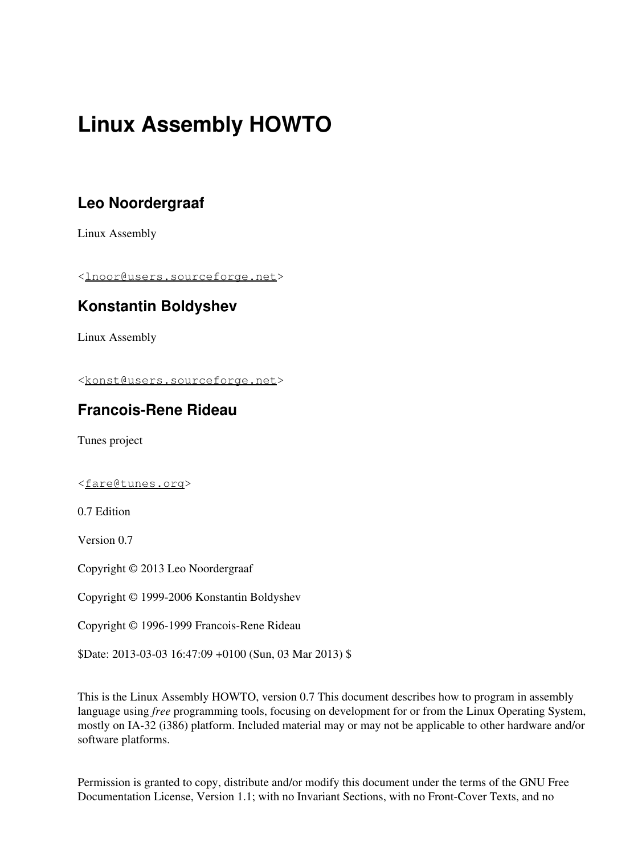## **Leo Noordergraaf**

Linux Assembly

<[lnoor@users.sourceforge.net>](mailto:lnoor@users.sourceforge.net)

### **Konstantin Boldyshev**

Linux Assembly

<[konst@users.sourceforge.net>](mailto:konst@users.sourceforge.net)

### **Francois-Rene Rideau**

Tunes project

<[fare@tunes.org>](mailto:fare@tunes.org)

0.7 Edition

Version 0.7

Copyright © 2013 Leo Noordergraaf

Copyright © 1999-2006 Konstantin Boldyshev

Copyright © 1996-1999 Francois-Rene Rideau

\$Date: 2013-03-03 16:47:09 +0100 (Sun, 03 Mar 2013) \$

This is the Linux Assembly HOWTO, version 0.7 This document describes how to program in assembly language using *free* programming tools, focusing on development for or from the Linux Operating System, mostly on IA-32 (i386) platform. Included material may or may not be applicable to other hardware and/or software platforms.

Permission is granted to copy, distribute and/or modify this document under the terms of the GNU Free Documentation License, Version 1.1; with no Invariant Sections, with no Front-Cover Texts, and no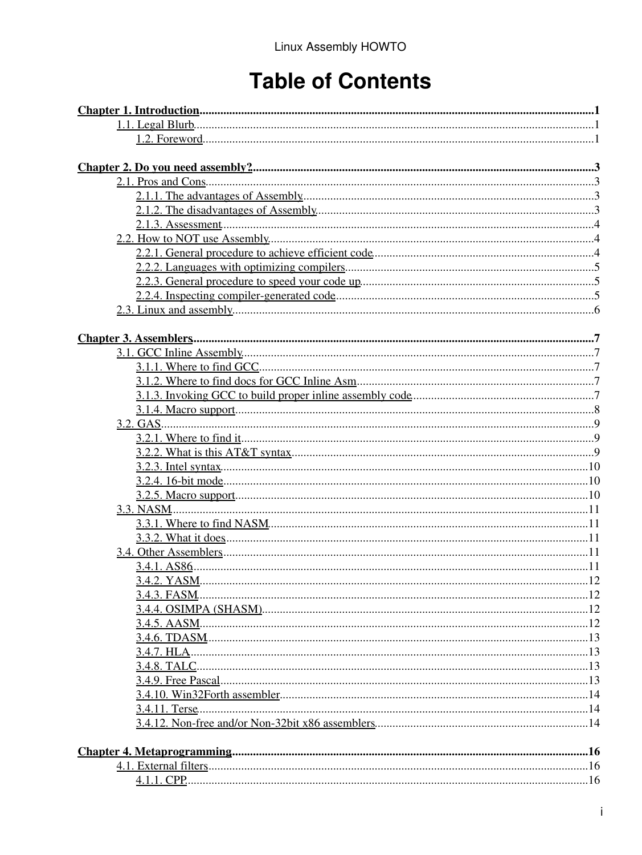# **Table of Contents**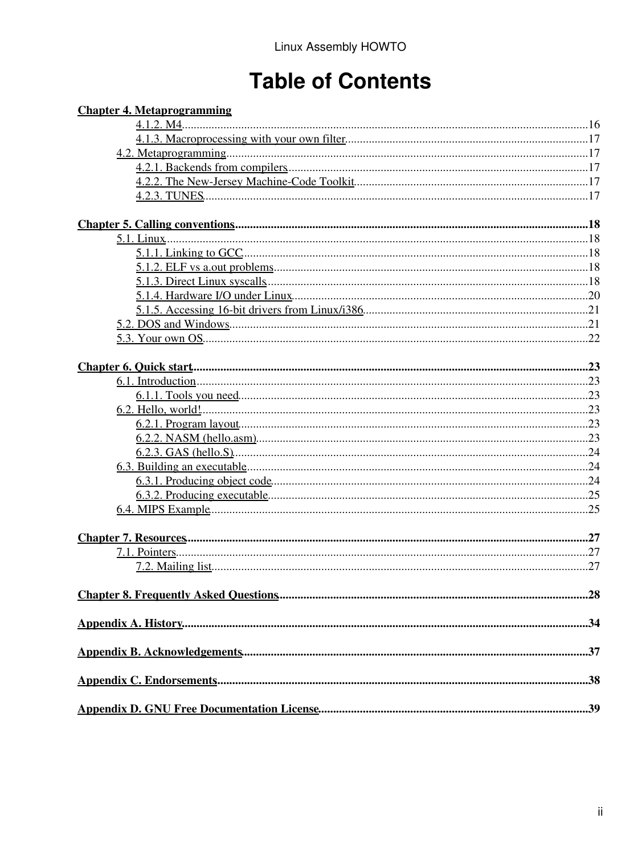# **Table of Contents**

| <b>Chapter 4. Metaprogramming</b> |  |
|-----------------------------------|--|
|                                   |  |
|                                   |  |
|                                   |  |
|                                   |  |
|                                   |  |
|                                   |  |
|                                   |  |
|                                   |  |
|                                   |  |
|                                   |  |
|                                   |  |
|                                   |  |
|                                   |  |
|                                   |  |
|                                   |  |
|                                   |  |
|                                   |  |
|                                   |  |
|                                   |  |
|                                   |  |
|                                   |  |
|                                   |  |
|                                   |  |
|                                   |  |
|                                   |  |
|                                   |  |
|                                   |  |
|                                   |  |
|                                   |  |
|                                   |  |
|                                   |  |
|                                   |  |
|                                   |  |
|                                   |  |
|                                   |  |
|                                   |  |
|                                   |  |
|                                   |  |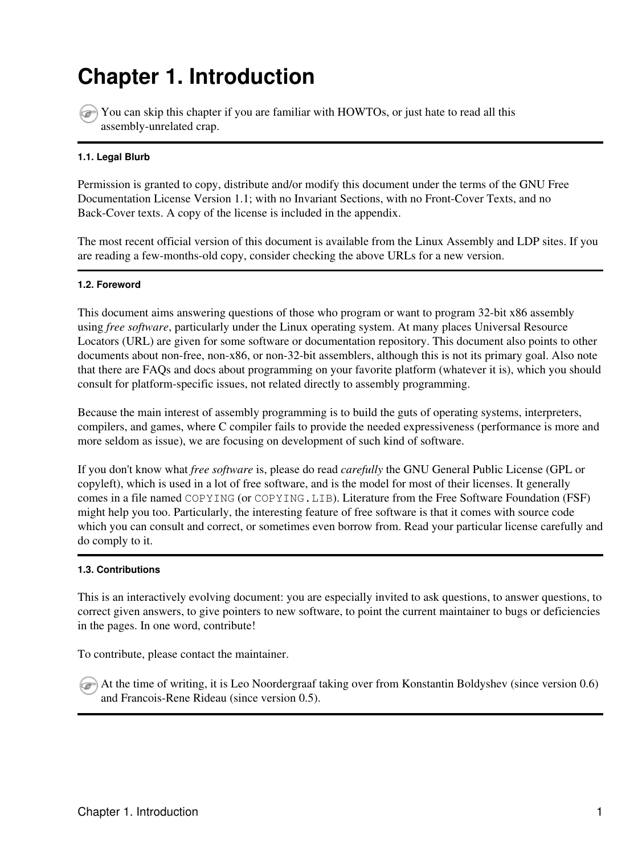# <span id="page-4-0"></span>**Chapter 1. Introduction**

You can skip this chapter if you are familiar with HOWTOs, or just hate to read all this assembly-unrelated crap.

#### <span id="page-4-1"></span>**1.1. Legal Blurb**

Permission is granted to copy, distribute and/or modify this document under the terms of the GNU Free Documentation License Version 1.1; with no Invariant Sections, with no Front-Cover Texts, and no Back-Cover texts. A copy of the license is included in the appendix.

The most recent official version of this document is available from the Linux Assembly and LDP sites. If you are reading a few-months-old copy, consider checking the above URLs for a new version.

#### <span id="page-4-2"></span>**1.2. Foreword**

This document aims answering questions of those who program or want to program 32-bit x86 assembly using *free software*, particularly under the Linux operating system. At many places Universal Resource Locators (URL) are given for some software or documentation repository. This document also points to other documents about non-free, non-x86, or non-32-bit assemblers, although this is not its primary goal. Also note that there are FAQs and docs about programming on your favorite platform (whatever it is), which you should consult for platform-specific issues, not related directly to assembly programming.

Because the main interest of assembly programming is to build the guts of operating systems, interpreters, compilers, and games, where C compiler fails to provide the needed expressiveness (performance is more and more seldom as issue), we are focusing on development of such kind of software.

If you don't know what *free software* is, please do read *carefully* the GNU General Public License (GPL or copyleft), which is used in a lot of free software, and is the model for most of their licenses. It generally comes in a file named COPYING (or COPYING.LIB). Literature from the Free Software Foundation (FSF) might help you too. Particularly, the interesting feature of free software is that it comes with source code which you can consult and correct, or sometimes even borrow from. Read your particular license carefully and do comply to it.

#### **1.3. Contributions**

This is an interactively evolving document: you are especially invited to ask questions, to answer questions, to correct given answers, to give pointers to new software, to point the current maintainer to bugs or deficiencies in the pages. In one word, contribute!

To contribute, please contact the maintainer.

At the time of writing, it is Leo Noordergraaf taking over from Konstantin Boldyshev (since version 0.6) and Francois-Rene Rideau (since version 0.5).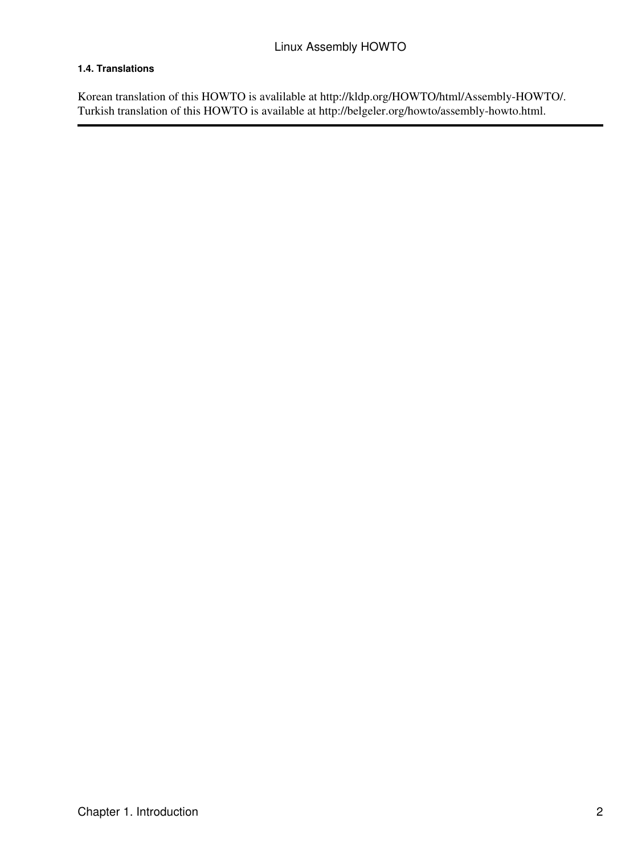#### **1.4. Translations**

Korean translation of this HOWTO is avalilable at http://kldp.org/HOWTO/html/Assembly-HOWTO/. Turkish translation of this HOWTO is available at http://belgeler.org/howto/assembly-howto.html.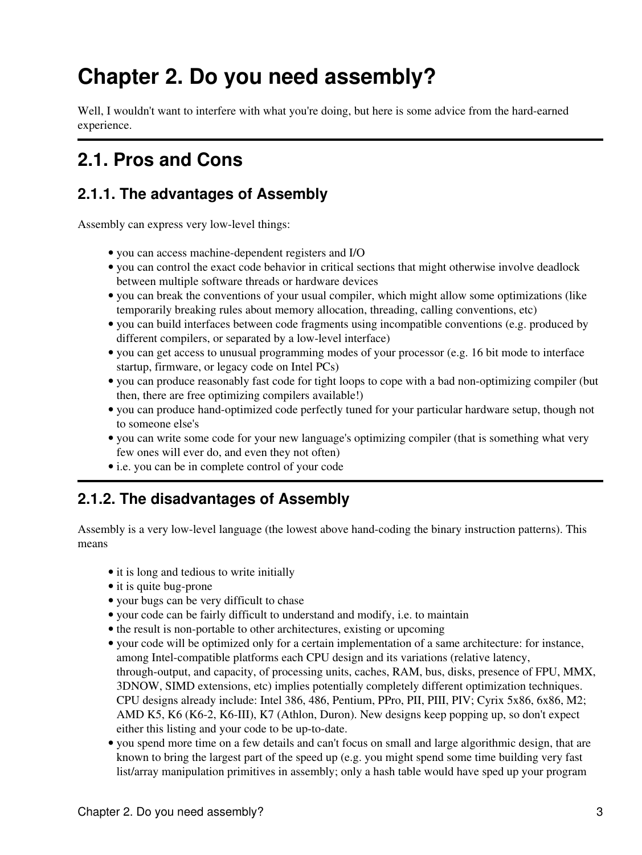# <span id="page-6-0"></span>**Chapter 2. Do you need assembly?**

Well, I wouldn't want to interfere with what you're doing, but here is some advice from the hard-earned experience.

## <span id="page-6-1"></span>**2.1. Pros and Cons**

## <span id="page-6-2"></span>**2.1.1. The advantages of Assembly**

Assembly can express very low-level things:

- you can access machine-dependent registers and I/O
- you can control the exact code behavior in critical sections that might otherwise involve deadlock between multiple software threads or hardware devices
- you can break the conventions of your usual compiler, which might allow some optimizations (like temporarily breaking rules about memory allocation, threading, calling conventions, etc)
- you can build interfaces between code fragments using incompatible conventions (e.g. produced by different compilers, or separated by a low-level interface)
- you can get access to unusual programming modes of your processor (e.g. 16 bit mode to interface startup, firmware, or legacy code on Intel PCs)
- you can produce reasonably fast code for tight loops to cope with a bad non-optimizing compiler (but then, there are free optimizing compilers available!)
- you can produce hand-optimized code perfectly tuned for your particular hardware setup, though not to someone else's
- you can write some code for your new language's optimizing compiler (that is something what very few ones will ever do, and even they not often)
- i.e. you can be in complete control of your code

## <span id="page-6-3"></span>**2.1.2. The disadvantages of Assembly**

Assembly is a very low-level language (the lowest above hand-coding the binary instruction patterns). This means

- it is long and tedious to write initially
- it is quite bug-prone
- your bugs can be very difficult to chase
- your code can be fairly difficult to understand and modify, i.e. to maintain
- the result is non-portable to other architectures, existing or upcoming
- your code will be optimized only for a certain implementation of a same architecture: for instance, among Intel-compatible platforms each CPU design and its variations (relative latency, through-output, and capacity, of processing units, caches, RAM, bus, disks, presence of FPU, MMX, 3DNOW, SIMD extensions, etc) implies potentially completely different optimization techniques. CPU designs already include: Intel 386, 486, Pentium, PPro, PII, PIII, PIV; Cyrix 5x86, 6x86, M2; AMD K5, K6 (K6-2, K6-III), K7 (Athlon, Duron). New designs keep popping up, so don't expect either this listing and your code to be up-to-date.
- you spend more time on a few details and can't focus on small and large algorithmic design, that are known to bring the largest part of the speed up (e.g. you might spend some time building very fast list/array manipulation primitives in assembly; only a hash table would have sped up your program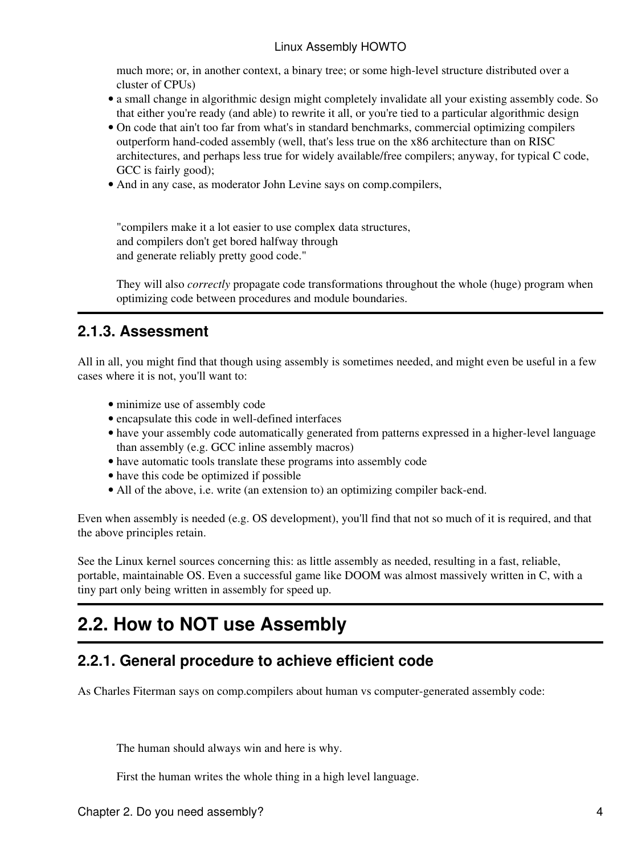much more; or, in another context, a binary tree; or some high-level structure distributed over a cluster of CPUs)

- a small change in algorithmic design might completely invalidate all your existing assembly code. So that either you're ready (and able) to rewrite it all, or you're tied to a particular algorithmic design
- On code that ain't too far from what's in standard benchmarks, commercial optimizing compilers outperform hand-coded assembly (well, that's less true on the x86 architecture than on RISC architectures, and perhaps less true for widely available/free compilers; anyway, for typical C code, GCC is fairly good);
- And in any case, as moderator John Levine says on comp.compilers,

"compilers make it a lot easier to use complex data structures, and compilers don't get bored halfway through and generate reliably pretty good code."

They will also *correctly* propagate code transformations throughout the whole (huge) program when optimizing code between procedures and module boundaries.

## <span id="page-7-0"></span>**2.1.3. Assessment**

All in all, you might find that though using assembly is sometimes needed, and might even be useful in a few cases where it is not, you'll want to:

- minimize use of assembly code
- encapsulate this code in well-defined interfaces
- have your assembly code automatically generated from patterns expressed in a higher-level language than assembly (e.g. GCC inline assembly macros)
- have automatic tools translate these programs into assembly code
- have this code be optimized if possible
- All of the above, i.e. write (an extension to) an optimizing compiler back-end.

Even when assembly is needed (e.g. OS development), you'll find that not so much of it is required, and that the above principles retain.

See the Linux kernel sources concerning this: as little assembly as needed, resulting in a fast, reliable, portable, maintainable OS. Even a successful game like DOOM was almost massively written in C, with a tiny part only being written in assembly for speed up.

## <span id="page-7-1"></span>**2.2. How to NOT use Assembly**

## <span id="page-7-2"></span>**2.2.1. General procedure to achieve efficient code**

As Charles Fiterman says on comp.compilers about human vs computer-generated assembly code:

The human should always win and here is why.

First the human writes the whole thing in a high level language.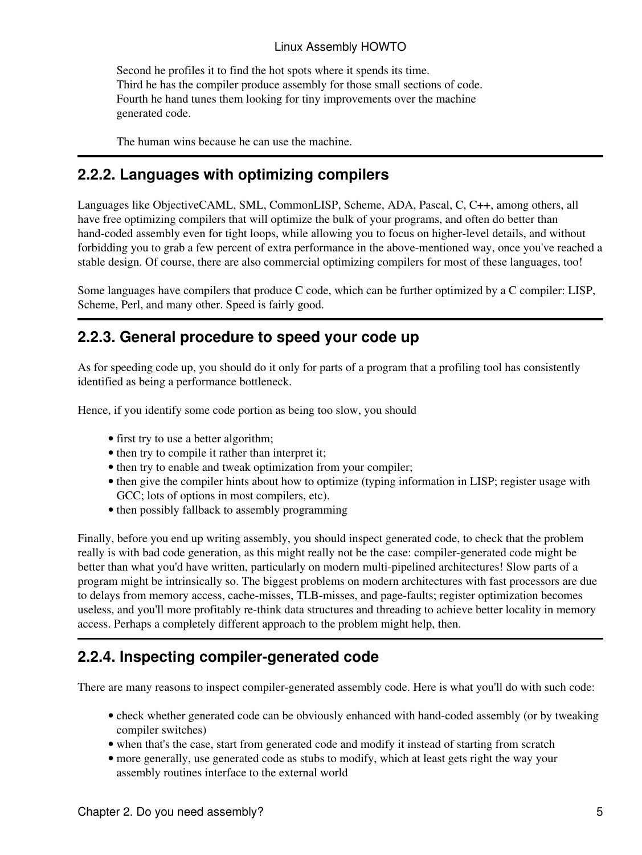Second he profiles it to find the hot spots where it spends its time. Third he has the compiler produce assembly for those small sections of code. Fourth he hand tunes them looking for tiny improvements over the machine generated code.

The human wins because he can use the machine.

### <span id="page-8-0"></span>**2.2.2. Languages with optimizing compilers**

Languages like ObjectiveCAML, SML, CommonLISP, Scheme, ADA, Pascal, C, C++, among others, all have free optimizing compilers that will optimize the bulk of your programs, and often do better than hand-coded assembly even for tight loops, while allowing you to focus on higher-level details, and without forbidding you to grab a few percent of extra performance in the above-mentioned way, once you've reached a stable design. Of course, there are also commercial optimizing compilers for most of these languages, too!

Some languages have compilers that produce C code, which can be further optimized by a C compiler: LISP, Scheme, Perl, and many other. Speed is fairly good.

## <span id="page-8-1"></span>**2.2.3. General procedure to speed your code up**

As for speeding code up, you should do it only for parts of a program that a profiling tool has consistently identified as being a performance bottleneck.

Hence, if you identify some code portion as being too slow, you should

- first try to use a better algorithm;
- then try to compile it rather than interpret it;
- then try to enable and tweak optimization from your compiler;
- then give the compiler hints about how to optimize (typing information in LISP; register usage with GCC; lots of options in most compilers, etc).
- then possibly fallback to assembly programming

Finally, before you end up writing assembly, you should inspect generated code, to check that the problem really is with bad code generation, as this might really not be the case: compiler-generated code might be better than what you'd have written, particularly on modern multi-pipelined architectures! Slow parts of a program might be intrinsically so. The biggest problems on modern architectures with fast processors are due to delays from memory access, cache-misses, TLB-misses, and page-faults; register optimization becomes useless, and you'll more profitably re-think data structures and threading to achieve better locality in memory access. Perhaps a completely different approach to the problem might help, then.

## <span id="page-8-2"></span>**2.2.4. Inspecting compiler-generated code**

There are many reasons to inspect compiler-generated assembly code. Here is what you'll do with such code:

- check whether generated code can be obviously enhanced with hand-coded assembly (or by tweaking compiler switches)
- when that's the case, start from generated code and modify it instead of starting from scratch
- more generally, use generated code as stubs to modify, which at least gets right the way your assembly routines interface to the external world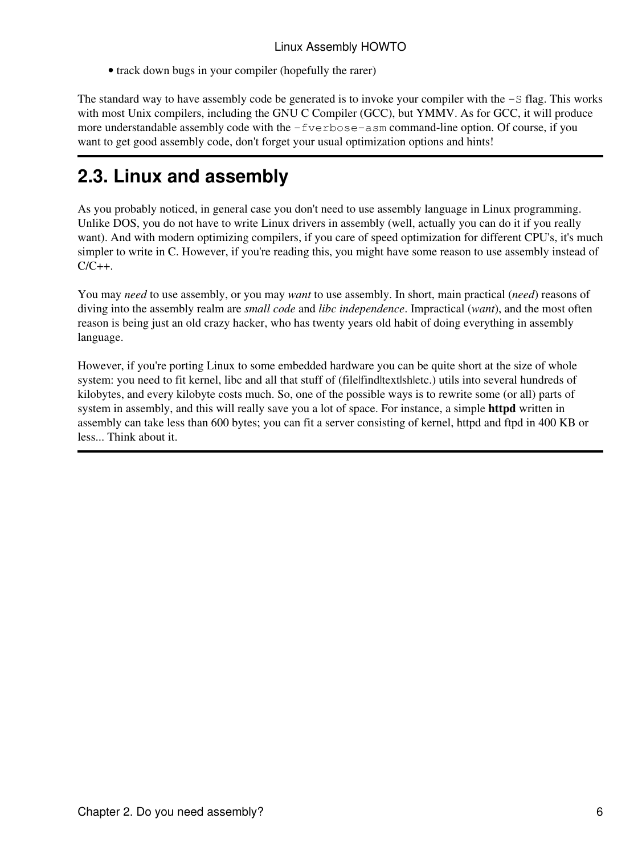• track down bugs in your compiler (hopefully the rarer)

The standard way to have assembly code be generated is to invoke your compiler with the  $-S$  flag. This works with most Unix compilers, including the GNU C Compiler (GCC), but YMMV. As for GCC, it will produce more understandable assembly code with the -fverbose-asm command-line option. Of course, if you want to get good assembly code, don't forget your usual optimization options and hints!

# <span id="page-9-0"></span>**2.3. Linux and assembly**

As you probably noticed, in general case you don't need to use assembly language in Linux programming. Unlike DOS, you do not have to write Linux drivers in assembly (well, actually you can do it if you really want). And with modern optimizing compilers, if you care of speed optimization for different CPU's, it's much simpler to write in C. However, if you're reading this, you might have some reason to use assembly instead of  $C/C++$ .

You may *need* to use assembly, or you may *want* to use assembly. In short, main practical (*need*) reasons of diving into the assembly realm are *small code* and *libc independence*. Impractical (*want*), and the most often reason is being just an old crazy hacker, who has twenty years old habit of doing everything in assembly language.

However, if you're porting Linux to some embedded hardware you can be quite short at the size of whole system: you need to fit kernel, libc and all that stuff of (file|find|text|sh|etc.) utils into several hundreds of kilobytes, and every kilobyte costs much. So, one of the possible ways is to rewrite some (or all) parts of system in assembly, and this will really save you a lot of space. For instance, a simple **httpd** written in assembly can take less than 600 bytes; you can fit a server consisting of kernel, httpd and ftpd in 400 KB or less. Think about it.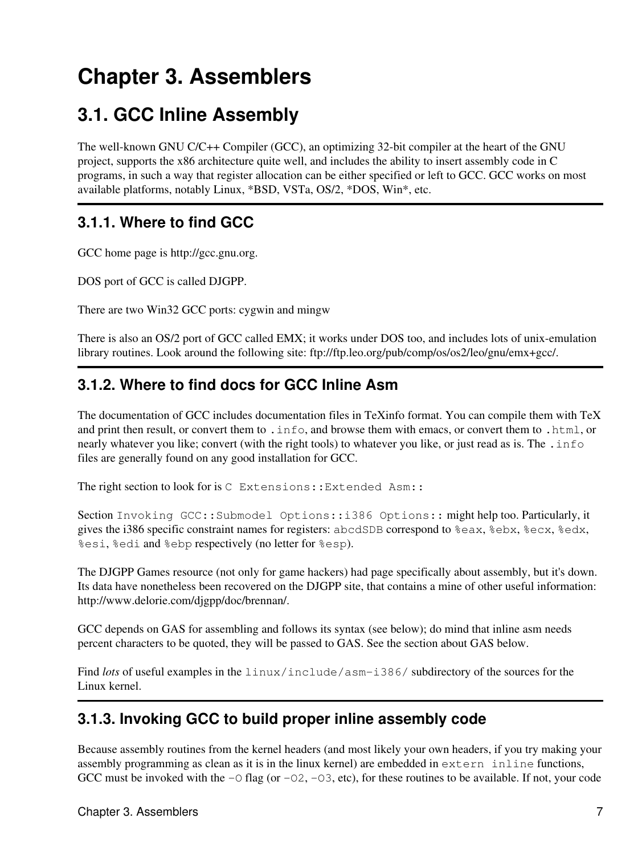# <span id="page-10-0"></span>**Chapter 3. Assemblers**

## <span id="page-10-1"></span>**3.1. GCC Inline Assembly**

The well-known GNU C/C++ Compiler (GCC), an optimizing 32-bit compiler at the heart of the GNU project, supports the x86 architecture quite well, and includes the ability to insert assembly code in C programs, in such a way that register allocation can be either specified or left to GCC. GCC works on most available platforms, notably Linux, \*BSD, VSTa, OS/2, \*DOS, Win\*, etc.

## <span id="page-10-2"></span>**3.1.1. Where to find GCC**

GCC home page is http://gcc.gnu.org.

DOS port of GCC is called DJGPP.

There are two Win32 GCC ports: cygwin and mingw

There is also an OS/2 port of GCC called EMX; it works under DOS too, and includes lots of unix-emulation library routines. Look around the following site: ftp://ftp.leo.org/pub/comp/os/os2/leo/gnu/emx+gcc/.

## <span id="page-10-3"></span>**3.1.2. Where to find docs for GCC Inline Asm**

The documentation of GCC includes documentation files in TeXinfo format. You can compile them with TeX and print then result, or convert them to . info, and browse them with emacs, or convert them to . html, or nearly whatever you like; convert (with the right tools) to whatever you like, or just read as is. The .info files are generally found on any good installation for GCC.

The right section to look for is C Extensions:: Extended Asm::

Section Invoking GCC:: Submodel Options::i386 Options:: might help too. Particularly, it gives the i386 specific constraint names for registers: abcdSDB correspond to %eax, %ebx, %ecx, %edx, %esi, %edi and %ebp respectively (no letter for %esp).

The DJGPP Games resource (not only for game hackers) had page specifically about assembly, but it's down. Its data have nonetheless been recovered on the DJGPP site, that contains a mine of other useful information: http://www.delorie.com/djgpp/doc/brennan/.

GCC depends on GAS for assembling and follows its syntax (see below); do mind that inline asm needs percent characters to be quoted, they will be passed to GAS. See the section about GAS below.

Find *lots* of useful examples in the linux/include/asm-i386/ subdirectory of the sources for the Linux kernel.

## <span id="page-10-4"></span>**3.1.3. Invoking GCC to build proper inline assembly code**

Because assembly routines from the kernel headers (and most likely your own headers, if you try making your assembly programming as clean as it is in the linux kernel) are embedded in extern inline functions, GCC must be invoked with the  $-0$  flag (or  $-02$ ,  $-03$ , etc), for these routines to be available. If not, your code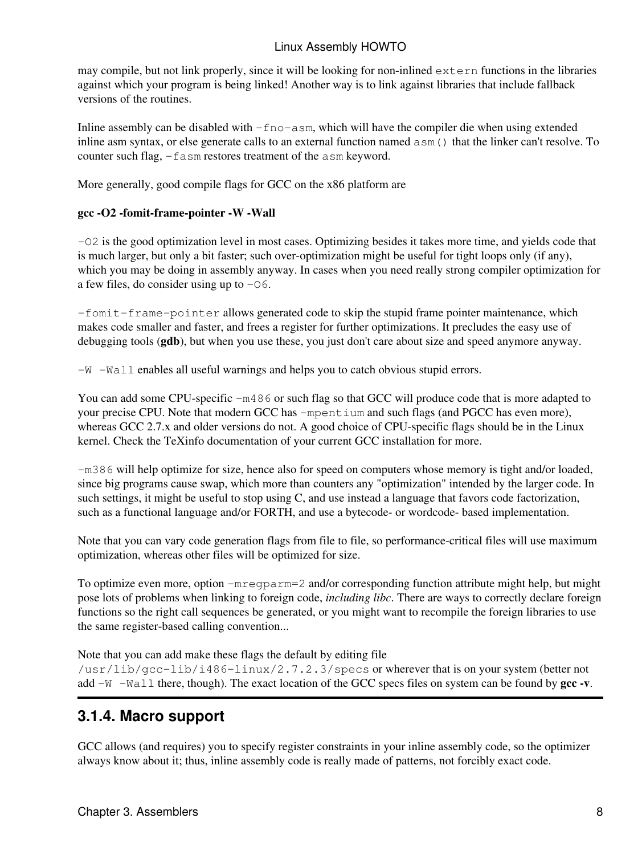may compile, but not link properly, since it will be looking for non-inlined extern functions in the libraries against which your program is being linked! Another way is to link against libraries that include fallback versions of the routines.

Inline assembly can be disabled with  $-\text{fno-asm}$ , which will have the compiler die when using extended inline asm syntax, or else generate calls to an external function named asm() that the linker can't resolve. To counter such flag, -fasm restores treatment of the asm keyword.

More generally, good compile flags for GCC on the x86 platform are

#### **gcc -O2 -fomit-frame-pointer -W -Wall**

-O2 is the good optimization level in most cases. Optimizing besides it takes more time, and yields code that is much larger, but only a bit faster; such over-optimization might be useful for tight loops only (if any), which you may be doing in assembly anyway. In cases when you need really strong compiler optimization for a few files, do consider using up to  $-06$ .

-fomit-frame-pointer allows generated code to skip the stupid frame pointer maintenance, which makes code smaller and faster, and frees a register for further optimizations. It precludes the easy use of debugging tools (**gdb**), but when you use these, you just don't care about size and speed anymore anyway.

 $-W$  -Wall enables all useful warnings and helps you to catch obvious stupid errors.

You can add some CPU-specific  $-m486$  or such flag so that GCC will produce code that is more adapted to your precise CPU. Note that modern GCC has -mpentium and such flags (and PGCC has even more), whereas GCC 2.7.x and older versions do not. A good choice of CPU-specific flags should be in the Linux kernel. Check the TeXinfo documentation of your current GCC installation for more.

-m386 will help optimize for size, hence also for speed on computers whose memory is tight and/or loaded, since big programs cause swap, which more than counters any "optimization" intended by the larger code. In such settings, it might be useful to stop using C, and use instead a language that favors code factorization, such as a functional language and/or FORTH, and use a bytecode- or wordcode- based implementation.

Note that you can vary code generation flags from file to file, so performance-critical files will use maximum optimization, whereas other files will be optimized for size.

To optimize even more, option -mregparm=2 and/or corresponding function attribute might help, but might pose lots of problems when linking to foreign code, *including libc*. There are ways to correctly declare foreign functions so the right call sequences be generated, or you might want to recompile the foreign libraries to use the same register-based calling convention...

Note that you can add make these flags the default by editing file

 $\sqrt{\text{usr}/\text{lib}/\text{gcc}-\text{lib}/\text{i}486-\text{linux}/2.7.2.3/\text{specs}}$  or wherever that is on your system (better not add  $-W$  -Wall there, though). The exact location of the GCC specs files on system can be found by **gcc** -v.

### <span id="page-11-0"></span>**3.1.4. Macro support**

GCC allows (and requires) you to specify register constraints in your inline assembly code, so the optimizer always know about it; thus, inline assembly code is really made of patterns, not forcibly exact code.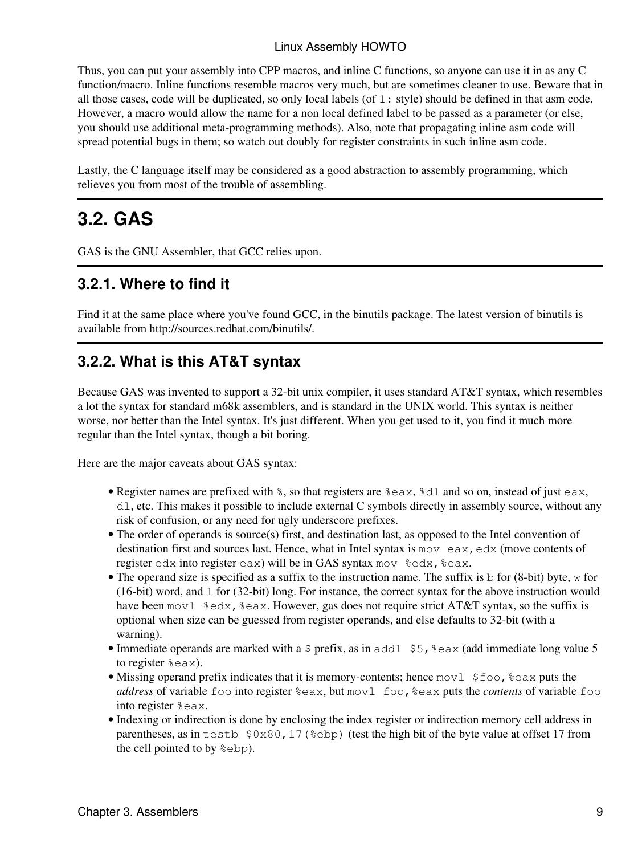Thus, you can put your assembly into CPP macros, and inline C functions, so anyone can use it in as any C function/macro. Inline functions resemble macros very much, but are sometimes cleaner to use. Beware that in all those cases, code will be duplicated, so only local labels (of 1: style) should be defined in that asm code. However, a macro would allow the name for a non local defined label to be passed as a parameter (or else, you should use additional meta-programming methods). Also, note that propagating inline asm code will spread potential bugs in them; so watch out doubly for register constraints in such inline asm code.

Lastly, the C language itself may be considered as a good abstraction to assembly programming, which relieves you from most of the trouble of assembling.

## <span id="page-12-0"></span>**3.2. GAS**

GAS is the GNU Assembler, that GCC relies upon.

## <span id="page-12-1"></span>**3.2.1. Where to find it**

Find it at the same place where you've found GCC, in the binutils package. The latest version of binutils is available from http://sources.redhat.com/binutils/.

## <span id="page-12-2"></span>**3.2.2. What is this AT&T syntax**

Because GAS was invented to support a 32-bit unix compiler, it uses standard AT&T syntax, which resembles a lot the syntax for standard m68k assemblers, and is standard in the UNIX world. This syntax is neither worse, nor better than the Intel syntax. It's just different. When you get used to it, you find it much more regular than the Intel syntax, though a bit boring.

Here are the major caveats about GAS syntax:

- Register names are prefixed with  $\frac{1}{6}$ , so that registers are  $\frac{1}{6}$ eax,  $\frac{1}{6}$ dl and so on, instead of just eax, dl, etc. This makes it possible to include external C symbols directly in assembly source, without any risk of confusion, or any need for ugly underscore prefixes.
- The order of operands is source(s) first, and destination last, as opposed to the Intel convention of destination first and sources last. Hence, what in Intel syntax is move eax, edx (move contents of register edx into register eax) will be in GAS syntax mov  $\text{sedx}, \text{seax}.$
- The operand size is specified as a suffix to the instruction name. The suffix is b for (8-bit) byte, w for  $(16-bit)$  word, and  $\perp$  for  $(32-bit)$  long. For instance, the correct syntax for the above instruction would have been movl %edx, %eax. However, gas does not require strict AT&T syntax, so the suffix is optional when size can be guessed from register operands, and else defaults to 32-bit (with a warning).
- Immediate operands are marked with a \$ prefix, as in addl \$5, %eax (add immediate long value 5 to register %eax).
- Missing operand prefix indicates that it is memory-contents; hence movl \$foo, %eax puts the *address* of variable foo into register %eax, but movl foo,%eax puts the *contents* of variable foo into register %eax.
- Indexing or indirection is done by enclosing the index register or indirection memory cell address in parentheses, as in testb  $$0x80,17$  ( $%ebp$ ) (test the high bit of the byte value at offset 17 from the cell pointed to by %ebp).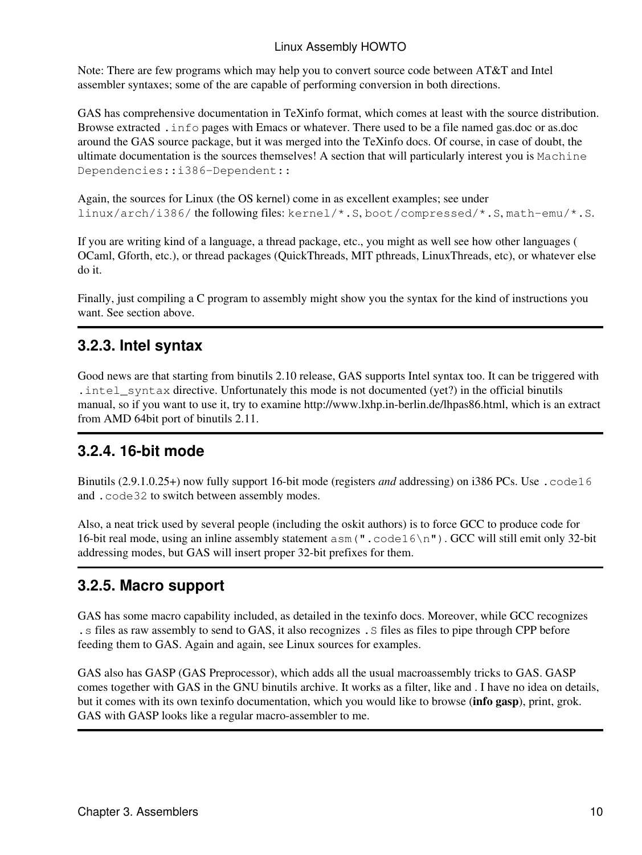Note: There are few programs which may help you to convert source code between AT&T and Intel assembler syntaxes; some of the are capable of performing conversion in both directions.

GAS has comprehensive documentation in TeXinfo format, which comes at least with the source distribution. Browse extracted .info pages with Emacs or whatever. There used to be a file named gas.doc or as.doc around the GAS source package, but it was merged into the TeXinfo docs. Of course, in case of doubt, the ultimate documentation is the sources themselves! A section that will particularly interest you is Machine Dependencies::i386-Dependent::

Again, the sources for Linux (the OS kernel) come in as excellent examples; see under linux/arch/i386/ the following files: kernel/\*.S, boot/compressed/\*.S, math-emu/\*.S.

If you are writing kind of a language, a thread package, etc., you might as well see how other languages ( OCaml, Gforth, etc.), or thread packages (QuickThreads, MIT pthreads, LinuxThreads, etc), or whatever else do it.

Finally, just compiling a C program to assembly might show you the syntax for the kind of instructions you want. See section above.

### <span id="page-13-0"></span>**3.2.3. Intel syntax**

Good news are that starting from binutils 2.10 release, GAS supports Intel syntax too. It can be triggered with .intel\_syntax directive. Unfortunately this mode is not documented (yet?) in the official binutils manual, so if you want to use it, try to examine http://www.lxhp.in-berlin.de/lhpas86.html, which is an extract from AMD 64bit port of binutils 2.11.

### <span id="page-13-1"></span>**3.2.4. 16-bit mode**

Binutils (2.9.1.0.25+) now fully support 16-bit mode (registers *and* addressing) on i386 PCs. Use .code16 and .code32 to switch between assembly modes.

Also, a neat trick used by several people (including the oskit authors) is to force GCC to produce code for 16-bit real mode, using an inline assembly statement asm(".code16\n"). GCC will still emit only 32-bit addressing modes, but GAS will insert proper 32-bit prefixes for them.

### <span id="page-13-2"></span>**3.2.5. Macro support**

GAS has some macro capability included, as detailed in the texinfo docs. Moreover, while GCC recognizes .s files as raw assembly to send to GAS, it also recognizes .S files as files to pipe through CPP before feeding them to GAS. Again and again, see Linux sources for examples.

GAS also has GASP (GAS Preprocessor), which adds all the usual macroassembly tricks to GAS. GASP comes together with GAS in the GNU binutils archive. It works as a filter, like and . I have no idea on details, but it comes with its own texinfo documentation, which you would like to browse (**info gasp**), print, grok. GAS with GASP looks like a regular macro-assembler to me.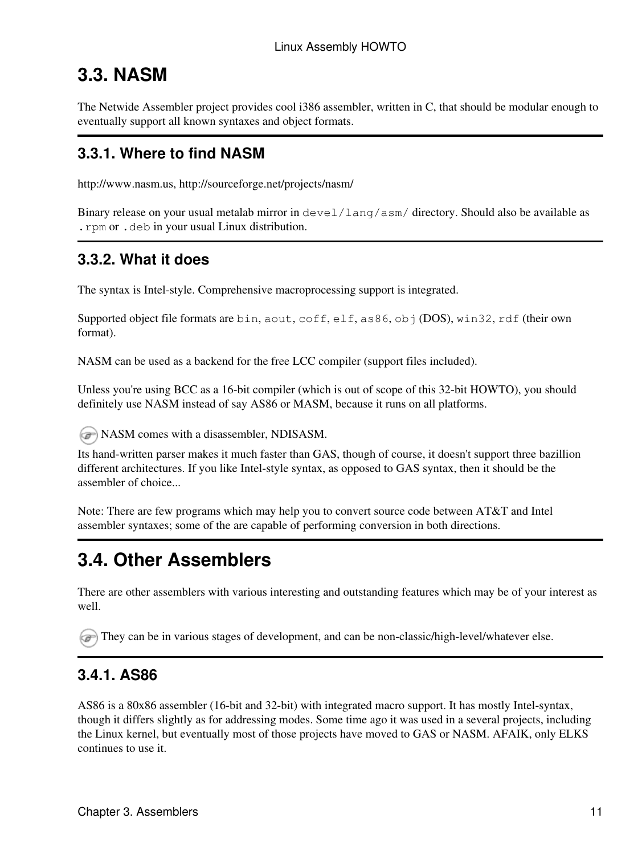# <span id="page-14-0"></span>**3.3. NASM**

The Netwide Assembler project provides cool i386 assembler, written in C, that should be modular enough to eventually support all known syntaxes and object formats.

## <span id="page-14-1"></span>**3.3.1. Where to find NASM**

http://www.nasm.us, http://sourceforge.net/projects/nasm/

Binary release on your usual metalab mirror in devel/lang/asm/ directory. Should also be available as .rpm or .deb in your usual Linux distribution.

## <span id="page-14-2"></span>**3.3.2. What it does**

The syntax is Intel-style. Comprehensive macroprocessing support is integrated.

Supported object file formats are bin, aout,  $\text{coff}, \text{elf}, \text{as86}, \text{obj}$  (DOS), win32, rdf (their own format).

NASM can be used as a backend for the free LCC compiler (support files included).

Unless you're using BCC as a 16-bit compiler (which is out of scope of this 32-bit HOWTO), you should definitely use NASM instead of say AS86 or MASM, because it runs on all platforms.

NASM comes with a disassembler, NDISASM.

Its hand-written parser makes it much faster than GAS, though of course, it doesn't support three bazillion different architectures. If you like Intel-style syntax, as opposed to GAS syntax, then it should be the assembler of choice...

Note: There are few programs which may help you to convert source code between AT&T and Intel assembler syntaxes; some of the are capable of performing conversion in both directions.

## <span id="page-14-3"></span>**3.4. Other Assemblers**

There are other assemblers with various interesting and outstanding features which may be of your interest as well.

They can be in various stages of development, and can be non-classic/high-level/whatever else. œ

## <span id="page-14-4"></span>**3.4.1. AS86**

AS86 is a 80x86 assembler (16-bit and 32-bit) with integrated macro support. It has mostly Intel-syntax, though it differs slightly as for addressing modes. Some time ago it was used in a several projects, including the Linux kernel, but eventually most of those projects have moved to GAS or NASM. AFAIK, only ELKS continues to use it.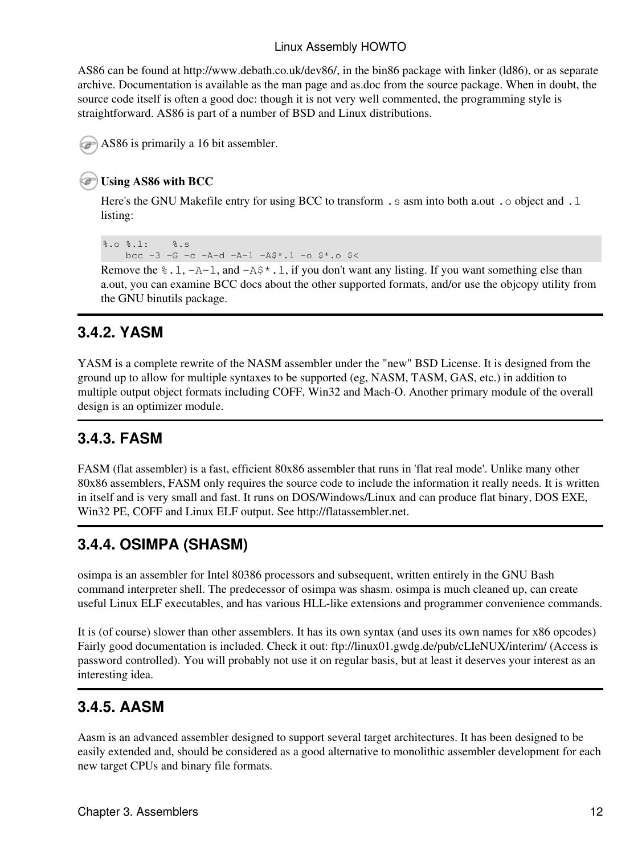AS86 can be found at http://www.debath.co.uk/dev86/, in the bin86 package with linker (ld86), or as separate archive. Documentation is available as the man page and as.doc from the source package. When in doubt, the source code itself is often a good doc: though it is not very well commented, the programming style is straightforward. AS86 is part of a number of BSD and Linux distributions.

AS86 is primarily a 16 bit assembler.

#### **Using AS86 with BCC**

Here's the GNU Makefile entry for using BCC to transform . s asm into both a.out . o object and . 1 listing:

```
%.o %.l: %.s
   bcc -3 -G -c -A-d -A-1 -A$*.1 -o $*.0 $<-
```
Remove the  $\epsilon$ , 1,  $-A-1$ , and  $-A\epsilon$   $\star$ , 1, if you don't want any listing. If you want something else than a.out, you can examine BCC docs about the other supported formats, and/or use the objcopy utility from the GNU binutils package.

### <span id="page-15-0"></span>**3.4.2. YASM**

YASM is a complete rewrite of the NASM assembler under the "new" BSD License. It is designed from the ground up to allow for multiple syntaxes to be supported (eg, NASM, TASM, GAS, etc.) in addition to multiple output object formats including COFF, Win32 and Mach-O. Another primary module of the overall design is an optimizer module.

### <span id="page-15-1"></span>**3.4.3. FASM**

FASM (flat assembler) is a fast, efficient 80x86 assembler that runs in 'flat real mode'. Unlike many other 80x86 assemblers, FASM only requires the source code to include the information it really needs. It is written in itself and is very small and fast. It runs on DOS/Windows/Linux and can produce flat binary, DOS EXE, Win32 PE, COFF and Linux ELF output. See http://flatassembler.net.

## <span id="page-15-2"></span>**3.4.4. OSIMPA (SHASM)**

osimpa is an assembler for Intel 80386 processors and subsequent, written entirely in the GNU Bash command interpreter shell. The predecessor of osimpa was shasm. osimpa is much cleaned up, can create useful Linux ELF executables, and has various HLL-like extensions and programmer convenience commands.

It is (of course) slower than other assemblers. It has its own syntax (and uses its own names for x86 opcodes) Fairly good documentation is included. Check it out: ftp://linux01.gwdg.de/pub/cLIeNUX/interim/ (Access is password controlled). You will probably not use it on regular basis, but at least it deserves your interest as an interesting idea.

## <span id="page-15-3"></span>**3.4.5. AASM**

Aasm is an advanced assembler designed to support several target architectures. It has been designed to be easily extended and, should be considered as a good alternative to monolithic assembler development for each new target CPUs and binary file formats.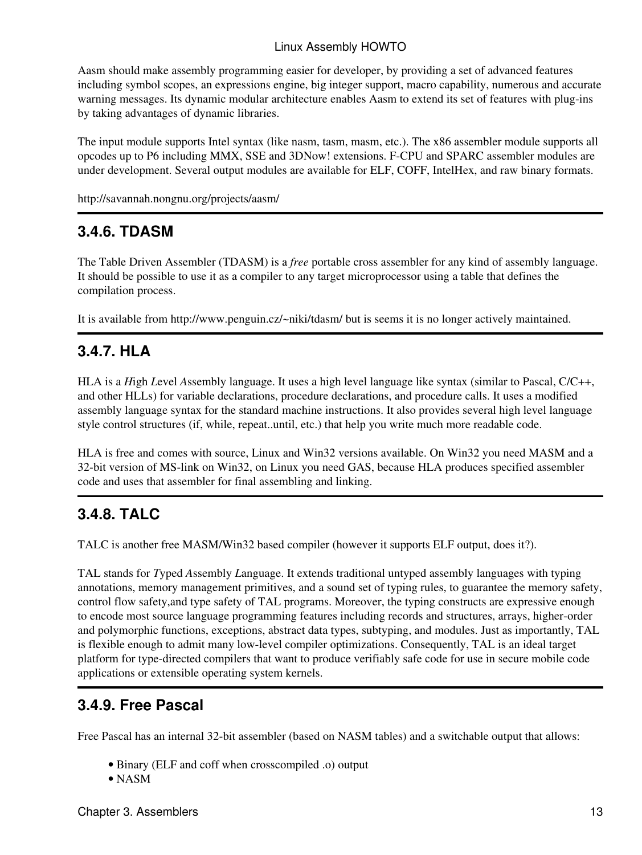Aasm should make assembly programming easier for developer, by providing a set of advanced features including symbol scopes, an expressions engine, big integer support, macro capability, numerous and accurate warning messages. Its dynamic modular architecture enables Aasm to extend its set of features with plug-ins by taking advantages of dynamic libraries.

The input module supports Intel syntax (like nasm, tasm, masm, etc.). The x86 assembler module supports all opcodes up to P6 including MMX, SSE and 3DNow! extensions. F-CPU and SPARC assembler modules are under development. Several output modules are available for ELF, COFF, IntelHex, and raw binary formats.

http://savannah.nongnu.org/projects/aasm/

## <span id="page-16-0"></span>**3.4.6. TDASM**

The Table Driven Assembler (TDASM) is a *free* portable cross assembler for any kind of assembly language. It should be possible to use it as a compiler to any target microprocessor using a table that defines the compilation process.

It is available from http://www.penguin.cz/~niki/tdasm/ but is seems it is no longer actively maintained.

## <span id="page-16-1"></span>**3.4.7. HLA**

HLA is a *H*igh *L*evel *A*ssembly language. It uses a high level language like syntax (similar to Pascal, C/C++, and other HLLs) for variable declarations, procedure declarations, and procedure calls. It uses a modified assembly language syntax for the standard machine instructions. It also provides several high level language style control structures (if, while, repeat..until, etc.) that help you write much more readable code.

HLA is free and comes with source, Linux and Win32 versions available. On Win32 you need MASM and a 32-bit version of MS-link on Win32, on Linux you need GAS, because HLA produces specified assembler code and uses that assembler for final assembling and linking.

## <span id="page-16-2"></span>**3.4.8. TALC**

TALC is another free MASM/Win32 based compiler (however it supports ELF output, does it?).

TAL stands for *T*yped *A*ssembly *L*anguage. It extends traditional untyped assembly languages with typing annotations, memory management primitives, and a sound set of typing rules, to guarantee the memory safety, control flow safety,and type safety of TAL programs. Moreover, the typing constructs are expressive enough to encode most source language programming features including records and structures, arrays, higher-order and polymorphic functions, exceptions, abstract data types, subtyping, and modules. Just as importantly, TAL is flexible enough to admit many low-level compiler optimizations. Consequently, TAL is an ideal target platform for type-directed compilers that want to produce verifiably safe code for use in secure mobile code applications or extensible operating system kernels.

## <span id="page-16-3"></span>**3.4.9. Free Pascal**

Free Pascal has an internal 32-bit assembler (based on NASM tables) and a switchable output that allows:

- Binary (ELF and coff when crosscompiled .o) output
- NASM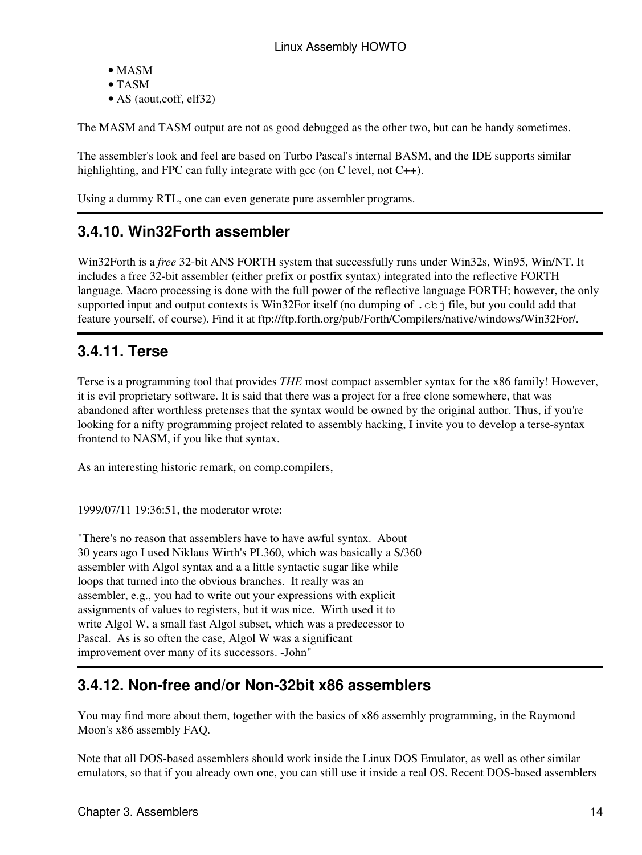- MASM
- TASM
- AS (aout, coff, elf32)

The MASM and TASM output are not as good debugged as the other two, but can be handy sometimes.

The assembler's look and feel are based on Turbo Pascal's internal BASM, and the IDE supports similar highlighting, and FPC can fully integrate with gcc (on C level, not C++).

Using a dummy RTL, one can even generate pure assembler programs.

### <span id="page-17-0"></span>**3.4.10. Win32Forth assembler**

Win32Forth is a *free* 32-bit ANS FORTH system that successfully runs under Win32s, Win95, Win/NT. It includes a free 32-bit assembler (either prefix or postfix syntax) integrated into the reflective FORTH language. Macro processing is done with the full power of the reflective language FORTH; however, the only supported input and output contexts is Win32For itself (no dumping of .  $\circ$ b  $\dagger$  file, but you could add that feature yourself, of course). Find it at ftp://ftp.forth.org/pub/Forth/Compilers/native/windows/Win32For/.

## <span id="page-17-1"></span>**3.4.11. Terse**

Terse is a programming tool that provides *THE* most compact assembler syntax for the x86 family! However, it is evil proprietary software. It is said that there was a project for a free clone somewhere, that was abandoned after worthless pretenses that the syntax would be owned by the original author. Thus, if you're looking for a nifty programming project related to assembly hacking, I invite you to develop a terse-syntax frontend to NASM, if you like that syntax.

As an interesting historic remark, on comp.compilers,

1999/07/11 19:36:51, the moderator wrote:

"There's no reason that assemblers have to have awful syntax. About 30 years ago I used Niklaus Wirth's PL360, which was basically a S/360 assembler with Algol syntax and a a little syntactic sugar like while loops that turned into the obvious branches. It really was an assembler, e.g., you had to write out your expressions with explicit assignments of values to registers, but it was nice. Wirth used it to write Algol W, a small fast Algol subset, which was a predecessor to Pascal. As is so often the case, Algol W was a significant improvement over many of its successors. -John"

### <span id="page-17-2"></span>**3.4.12. Non-free and/or Non-32bit x86 assemblers**

You may find more about them, together with the basics of x86 assembly programming, in the Raymond Moon's x86 assembly FAQ.

Note that all DOS-based assemblers should work inside the Linux DOS Emulator, as well as other similar emulators, so that if you already own one, you can still use it inside a real OS. Recent DOS-based assemblers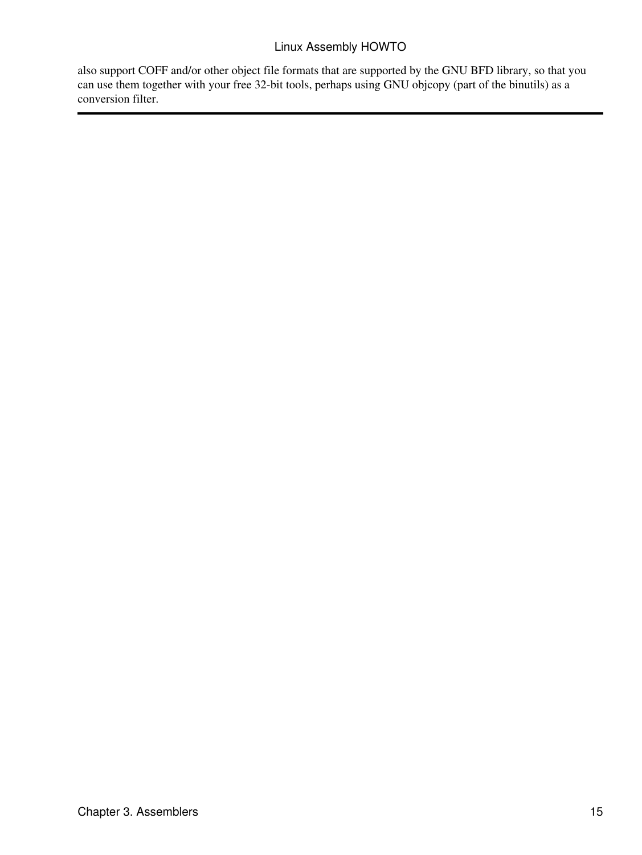also support COFF and/or other object file formats that are supported by the GNU BFD library, so that you can use them together with your free 32-bit tools, perhaps using GNU objcopy (part of the binutils) as a conversion filter.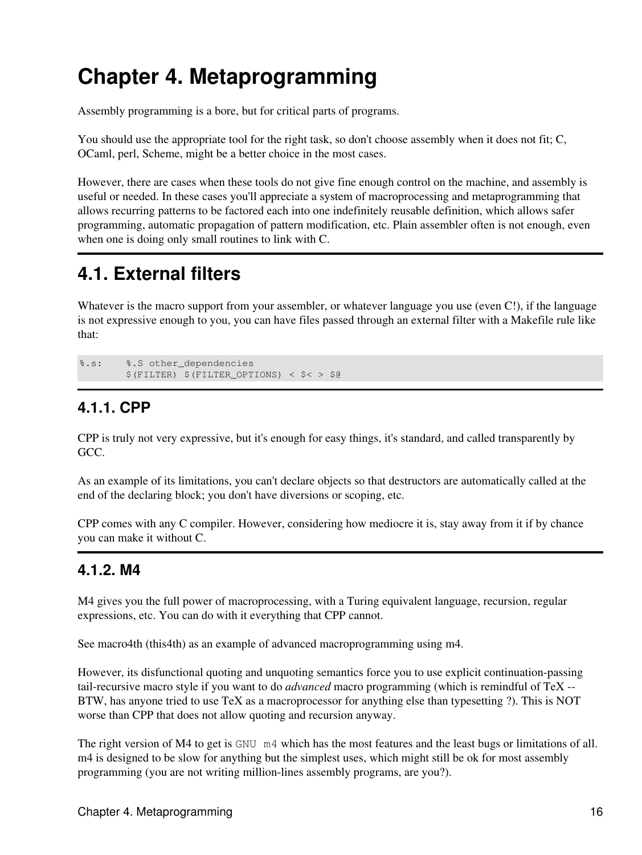# <span id="page-19-0"></span>**Chapter 4. Metaprogramming**

Assembly programming is a bore, but for critical parts of programs.

You should use the appropriate tool for the right task, so don't choose assembly when it does not fit; C, OCaml, perl, Scheme, might be a better choice in the most cases.

However, there are cases when these tools do not give fine enough control on the machine, and assembly is useful or needed. In these cases you'll appreciate a system of macroprocessing and metaprogramming that allows recurring patterns to be factored each into one indefinitely reusable definition, which allows safer programming, automatic propagation of pattern modification, etc. Plain assembler often is not enough, even when one is doing only small routines to link with C.

## <span id="page-19-1"></span>**4.1. External filters**

Whatever is the macro support from your assembler, or whatever language you use (even C!), if the language is not expressive enough to you, you can have files passed through an external filter with a Makefile rule like that:

```
%.s: %.S other_dependencies
        $(FILTER) $(FILTER_OPTIONS) < $< > $@
```
## <span id="page-19-2"></span>**4.1.1. CPP**

CPP is truly not very expressive, but it's enough for easy things, it's standard, and called transparently by GCC.

As an example of its limitations, you can't declare objects so that destructors are automatically called at the end of the declaring block; you don't have diversions or scoping, etc.

CPP comes with any C compiler. However, considering how mediocre it is, stay away from it if by chance you can make it without C.

## <span id="page-19-3"></span>**4.1.2. M4**

M4 gives you the full power of macroprocessing, with a Turing equivalent language, recursion, regular expressions, etc. You can do with it everything that CPP cannot.

See macro4th (this4th) as an example of advanced macroprogramming using m4.

However, its disfunctional quoting and unquoting semantics force you to use explicit continuation-passing tail-recursive macro style if you want to do *advanced* macro programming (which is remindful of TeX -- BTW, has anyone tried to use TeX as a macroprocessor for anything else than typesetting ?). This is NOT worse than CPP that does not allow quoting and recursion anyway.

The right version of M4 to get is GNU  $m4$  which has the most features and the least bugs or limitations of all. m4 is designed to be slow for anything but the simplest uses, which might still be ok for most assembly programming (you are not writing million-lines assembly programs, are you?).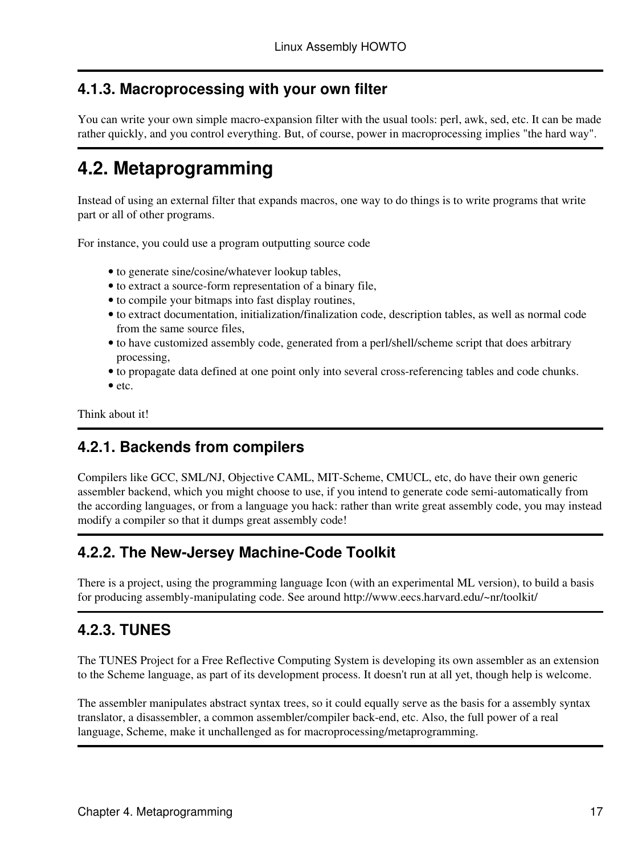## <span id="page-20-0"></span>**4.1.3. Macroprocessing with your own filter**

You can write your own simple macro-expansion filter with the usual tools: perl, awk, sed, etc. It can be made rather quickly, and you control everything. But, of course, power in macroprocessing implies "the hard way".

## <span id="page-20-1"></span>**4.2. Metaprogramming**

Instead of using an external filter that expands macros, one way to do things is to write programs that write part or all of other programs.

For instance, you could use a program outputting source code

- to generate sine/cosine/whatever lookup tables,
- to extract a source-form representation of a binary file,
- to compile your bitmaps into fast display routines,
- to extract documentation, initialization/finalization code, description tables, as well as normal code from the same source files,
- to have customized assembly code, generated from a perl/shell/scheme script that does arbitrary processing,
- to propagate data defined at one point only into several cross-referencing tables and code chunks.
- etc.

Think about it!

#### <span id="page-20-2"></span>**4.2.1. Backends from compilers**

Compilers like GCC, SML/NJ, Objective CAML, MIT-Scheme, CMUCL, etc, do have their own generic assembler backend, which you might choose to use, if you intend to generate code semi-automatically from the according languages, or from a language you hack: rather than write great assembly code, you may instead modify a compiler so that it dumps great assembly code!

### <span id="page-20-3"></span>**4.2.2. The New-Jersey Machine-Code Toolkit**

There is a project, using the programming language Icon (with an experimental ML version), to build a basis for producing assembly-manipulating code. See around http://www.eecs.harvard.edu/~nr/toolkit/

### <span id="page-20-4"></span>**4.2.3. TUNES**

The TUNES Project for a Free Reflective Computing System is developing its own assembler as an extension to the Scheme language, as part of its development process. It doesn't run at all yet, though help is welcome.

The assembler manipulates abstract syntax trees, so it could equally serve as the basis for a assembly syntax translator, a disassembler, a common assembler/compiler back-end, etc. Also, the full power of a real language, Scheme, make it unchallenged as for macroprocessing/metaprogramming.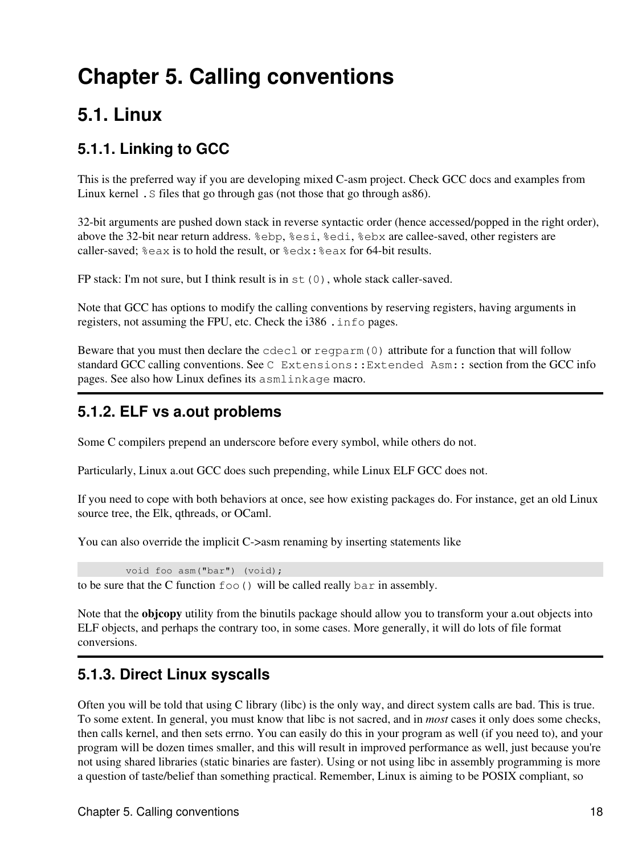# <span id="page-21-0"></span>**Chapter 5. Calling conventions**

## <span id="page-21-1"></span>**5.1. Linux**

### <span id="page-21-2"></span>**5.1.1. Linking to GCC**

This is the preferred way if you are developing mixed C-asm project. Check GCC docs and examples from Linux kernel. S files that go through gas (not those that go through as  $86$ ).

32-bit arguments are pushed down stack in reverse syntactic order (hence accessed/popped in the right order), above the 32-bit near return address. %ebp, %esi, %edi, %ebx are callee-saved, other registers are caller-saved; %eax is to hold the result, or %edx:%eax for 64-bit results.

FP stack: I'm not sure, but I think result is in st(0), whole stack caller-saved.

Note that GCC has options to modify the calling conventions by reserving registers, having arguments in registers, not assuming the FPU, etc. Check the i386, info pages.

Beware that you must then declare the cdecl or regparm(0) attribute for a function that will follow standard GCC calling conventions. See C Extensions::Extended Asm:: section from the GCC info pages. See also how Linux defines its asmlinkage macro.

#### <span id="page-21-3"></span>**5.1.2. ELF vs a.out problems**

Some C compilers prepend an underscore before every symbol, while others do not.

Particularly, Linux a.out GCC does such prepending, while Linux ELF GCC does not.

If you need to cope with both behaviors at once, see how existing packages do. For instance, get an old Linux source tree, the Elk, qthreads, or OCaml.

You can also override the implicit C->asm renaming by inserting statements like

void foo asm("bar") (void);

to be sure that the C function foo() will be called really bar in assembly.

Note that the **objcopy** utility from the binutils package should allow you to transform your a.out objects into ELF objects, and perhaps the contrary too, in some cases. More generally, it will do lots of file format conversions.

### <span id="page-21-4"></span>**5.1.3. Direct Linux syscalls**

Often you will be told that using C library (libc) is the only way, and direct system calls are bad. This is true. To some extent. In general, you must know that libc is not sacred, and in *most* cases it only does some checks, then calls kernel, and then sets errno. You can easily do this in your program as well (if you need to), and your program will be dozen times smaller, and this will result in improved performance as well, just because you're not using shared libraries (static binaries are faster). Using or not using libc in assembly programming is more a question of taste/belief than something practical. Remember, Linux is aiming to be POSIX compliant, so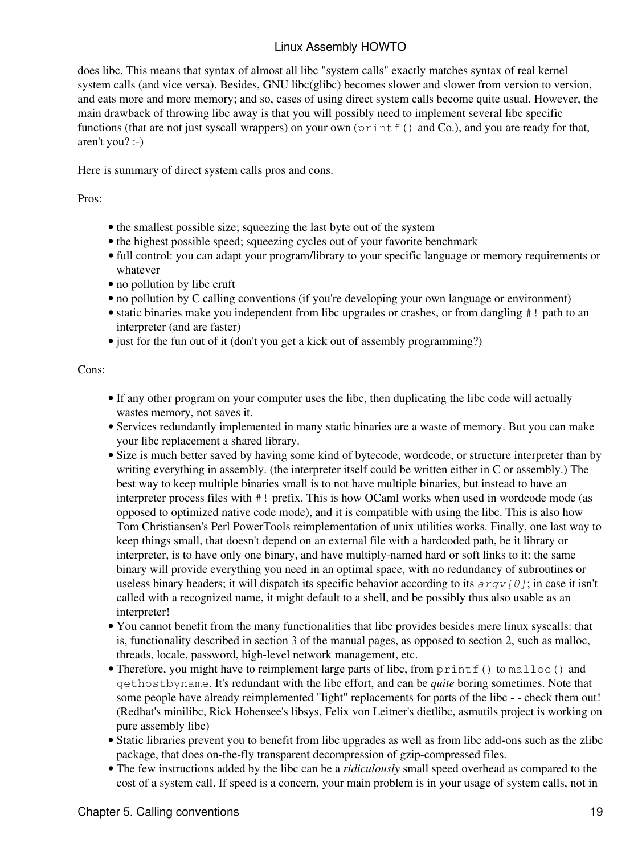does libc. This means that syntax of almost all libc "system calls" exactly matches syntax of real kernel system calls (and vice versa). Besides, GNU libc(glibc) becomes slower and slower from version to version, and eats more and more memory; and so, cases of using direct system calls become quite usual. However, the main drawback of throwing libc away is that you will possibly need to implement several libc specific functions (that are not just syscall wrappers) on your own ( $print f()$  and Co.), and you are ready for that, aren't you? :-)

Here is summary of direct system calls pros and cons.

Pros:

- the smallest possible size; squeezing the last byte out of the system
- the highest possible speed; squeezing cycles out of your favorite benchmark
- full control: you can adapt your program/library to your specific language or memory requirements or whatever
- no pollution by libc cruft
- no pollution by C calling conventions (if you're developing your own language or environment)
- static binaries make you independent from libc upgrades or crashes, or from dangling #! path to an interpreter (and are faster)
- just for the fun out of it (don't you get a kick out of assembly programming?)

Cons:

- If any other program on your computer uses the libc, then duplicating the libc code will actually wastes memory, not saves it.
- Services redundantly implemented in many static binaries are a waste of memory. But you can make your libc replacement a shared library.
- Size is much better saved by having some kind of bytecode, wordcode, or structure interpreter than by writing everything in assembly. (the interpreter itself could be written either in C or assembly.) The best way to keep multiple binaries small is to not have multiple binaries, but instead to have an interpreter process files with #! prefix. This is how OCaml works when used in wordcode mode (as opposed to optimized native code mode), and it is compatible with using the libc. This is also how Tom Christiansen's Perl PowerTools reimplementation of unix utilities works. Finally, one last way to keep things small, that doesn't depend on an external file with a hardcoded path, be it library or interpreter, is to have only one binary, and have multiply-named hard or soft links to it: the same binary will provide everything you need in an optimal space, with no redundancy of subroutines or useless binary headers; it will dispatch its specific behavior according to its *argv* [0]; in case it isn't called with a recognized name, it might default to a shell, and be possibly thus also usable as an interpreter!
- You cannot benefit from the many functionalities that libc provides besides mere linux syscalls: that is, functionality described in section 3 of the manual pages, as opposed to section 2, such as malloc, threads, locale, password, high-level network management, etc.
- Therefore, you might have to reimplement large parts of libc, from printf() to malloc() and gethostbyname. It's redundant with the libc effort, and can be *quite* boring sometimes. Note that some people have already reimplemented "light" replacements for parts of the libc - - check them out! (Redhat's minilibc, Rick Hohensee's libsys, Felix von Leitner's dietlibc, asmutils project is working on pure assembly libc)
- Static libraries prevent you to benefit from libc upgrades as well as from libc add-ons such as the zlibc package, that does on-the-fly transparent decompression of gzip-compressed files.
- The few instructions added by the libc can be a *ridiculously* small speed overhead as compared to the cost of a system call. If speed is a concern, your main problem is in your usage of system calls, not in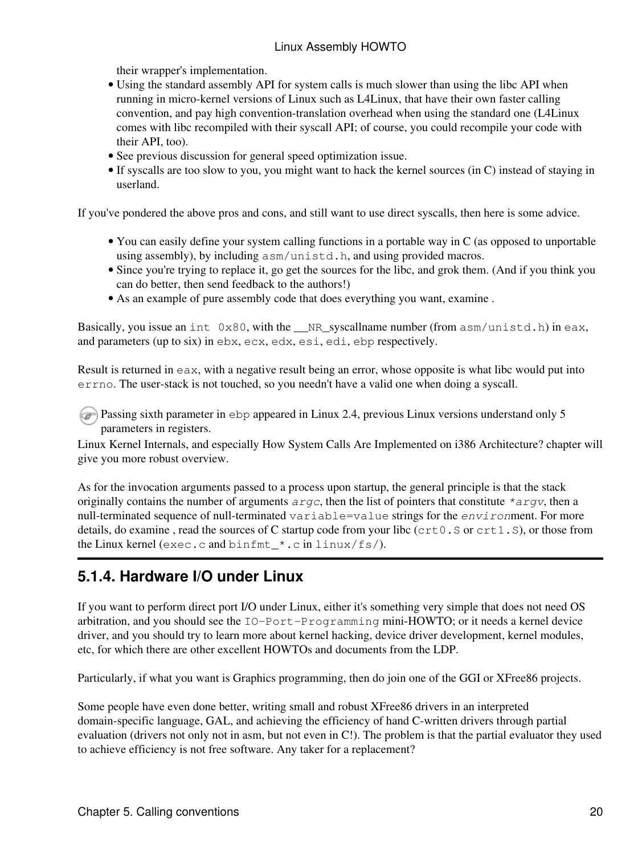their wrapper's implementation.

- Using the standard assembly API for system calls is much slower than using the libc API when running in micro-kernel versions of Linux such as L4Linux, that have their own faster calling convention, and pay high convention-translation overhead when using the standard one (L4Linux comes with libc recompiled with their syscall API; of course, you could recompile your code with their API, too).
- See previous discussion for general speed optimization issue.
- If syscalls are too slow to you, you might want to hack the kernel sources (in C) instead of staying in userland.

If you've pondered the above pros and cons, and still want to use direct syscalls, then here is some advice.

- You can easily define your system calling functions in a portable way in C (as opposed to unportable using assembly), by including asm/unistd.h, and using provided macros.
- Since you're trying to replace it, go get the sources for the libc, and grok them. (And if you think you can do better, then send feedback to the authors!)
- As an example of pure assembly code that does everything you want, examine .

Basically, you issue an int  $0 \times 80$ , with the  $\parallel$ NR syscallname number (from  $\parallel$ asm/unistd.h) in eax, and parameters (up to six) in ebx, ecx, edx, esi, edi, ebp respectively.

Result is returned in eax, with a negative result being an error, whose opposite is what libc would put into errno. The user-stack is not touched, so you needn't have a valid one when doing a syscall.

Passing sixth parameter in ebp appeared in Linux 2.4, previous Linux versions understand only 5 parameters in registers.

Linux Kernel Internals, and especially How System Calls Are Implemented on i386 Architecture? chapter will give you more robust overview.

As for the invocation arguments passed to a process upon startup, the general principle is that the stack originally contains the number of arguments *argc*, then the list of pointers that constitute *\*argv*, then a null-terminated sequence of null-terminated variable=value strings for the *environ*ment. For more details, do examine , read the sources of C startup code from your libc (crt0.S or crt1.S), or those from the Linux kernel (exec.c and binfmt\_\*.c in linux/fs/).

## <span id="page-23-0"></span>**5.1.4. Hardware I/O under Linux**

If you want to perform direct port I/O under Linux, either it's something very simple that does not need OS arbitration, and you should see the IO-Port-Programming mini-HOWTO; or it needs a kernel device driver, and you should try to learn more about kernel hacking, device driver development, kernel modules, etc, for which there are other excellent HOWTOs and documents from the LDP.

Particularly, if what you want is Graphics programming, then do join one of the GGI or XFree86 projects.

Some people have even done better, writing small and robust XFree86 drivers in an interpreted domain-specific language, GAL, and achieving the efficiency of hand C-written drivers through partial evaluation (drivers not only not in asm, but not even in C!). The problem is that the partial evaluator they used to achieve efficiency is not free software. Any taker for a replacement?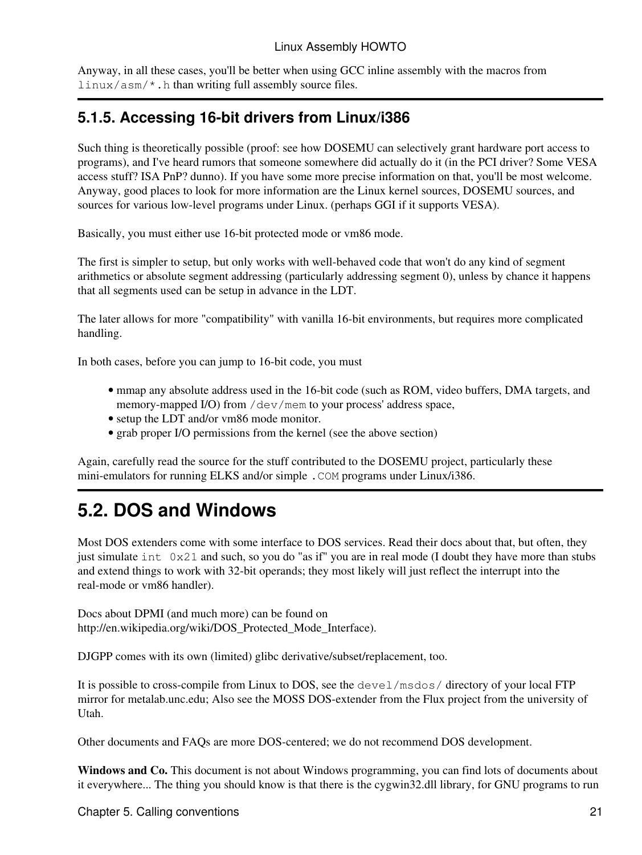Anyway, in all these cases, you'll be better when using GCC inline assembly with the macros from linux/asm/\*.h than writing full assembly source files.

## <span id="page-24-0"></span>**5.1.5. Accessing 16-bit drivers from Linux/i386**

Such thing is theoretically possible (proof: see how DOSEMU can selectively grant hardware port access to programs), and I've heard rumors that someone somewhere did actually do it (in the PCI driver? Some VESA access stuff? ISA PnP? dunno). If you have some more precise information on that, you'll be most welcome. Anyway, good places to look for more information are the Linux kernel sources, DOSEMU sources, and sources for various low-level programs under Linux. (perhaps GGI if it supports VESA).

Basically, you must either use 16-bit protected mode or vm86 mode.

The first is simpler to setup, but only works with well-behaved code that won't do any kind of segment arithmetics or absolute segment addressing (particularly addressing segment 0), unless by chance it happens that all segments used can be setup in advance in the LDT.

The later allows for more "compatibility" with vanilla 16-bit environments, but requires more complicated handling.

In both cases, before you can jump to 16-bit code, you must

- mmap any absolute address used in the 16-bit code (such as ROM, video buffers, DMA targets, and memory-mapped I/O) from /dev/mem to your process' address space,
- setup the LDT and/or vm86 mode monitor.
- grab proper I/O permissions from the kernel (see the above section)

Again, carefully read the source for the stuff contributed to the DOSEMU project, particularly these mini-emulators for running ELKS and/or simple . COM programs under Linux/i386.

## <span id="page-24-1"></span>**5.2. DOS and Windows**

Most DOS extenders come with some interface to DOS services. Read their docs about that, but often, they just simulate  $int \ 0x21$  and such, so you do "as if" you are in real mode (I doubt they have more than stubs and extend things to work with 32-bit operands; they most likely will just reflect the interrupt into the real-mode or vm86 handler).

Docs about DPMI (and much more) can be found on http://en.wikipedia.org/wiki/DOS\_Protected\_Mode\_Interface).

DJGPP comes with its own (limited) glibc derivative/subset/replacement, too.

It is possible to cross-compile from Linux to DOS, see the devel/msdos/ directory of your local FTP mirror for metalab.unc.edu; Also see the MOSS DOS-extender from the Flux project from the university of Utah.

Other documents and FAQs are more DOS-centered; we do not recommend DOS development.

**Windows and Co.** This document is not about Windows programming, you can find lots of documents about it everywhere... The thing you should know is that there is the cygwin32.dll library, for GNU programs to run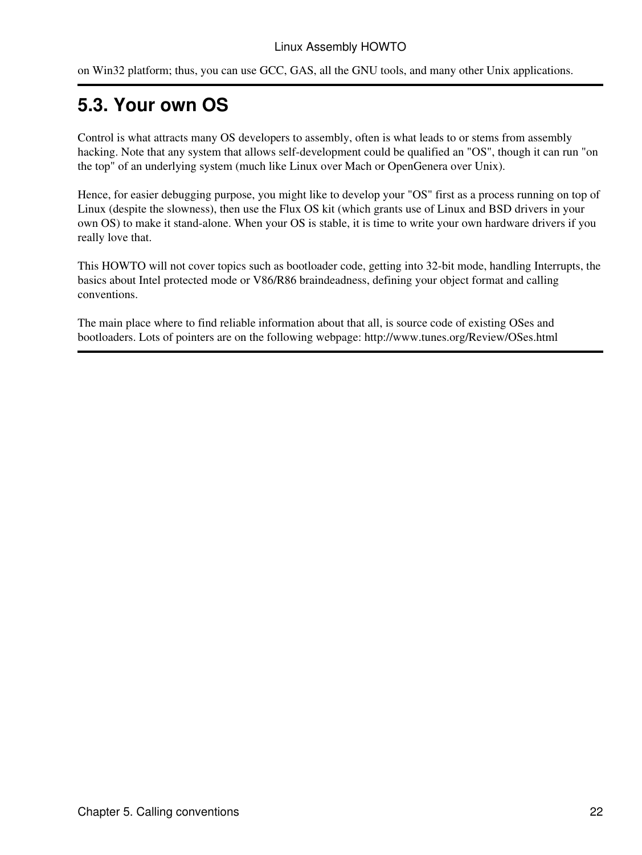on Win32 platform; thus, you can use GCC, GAS, all the GNU tools, and many other Unix applications.

# <span id="page-25-0"></span>**5.3. Your own OS**

Control is what attracts many OS developers to assembly, often is what leads to or stems from assembly hacking. Note that any system that allows self-development could be qualified an "OS", though it can run "on the top" of an underlying system (much like Linux over Mach or OpenGenera over Unix).

Hence, for easier debugging purpose, you might like to develop your "OS" first as a process running on top of Linux (despite the slowness), then use the Flux OS kit (which grants use of Linux and BSD drivers in your own OS) to make it stand-alone. When your OS is stable, it is time to write your own hardware drivers if you really love that.

This HOWTO will not cover topics such as bootloader code, getting into 32-bit mode, handling Interrupts, the basics about Intel protected mode or V86/R86 braindeadness, defining your object format and calling conventions.

The main place where to find reliable information about that all, is source code of existing OSes and bootloaders. Lots of pointers are on the following webpage: http://www.tunes.org/Review/OSes.html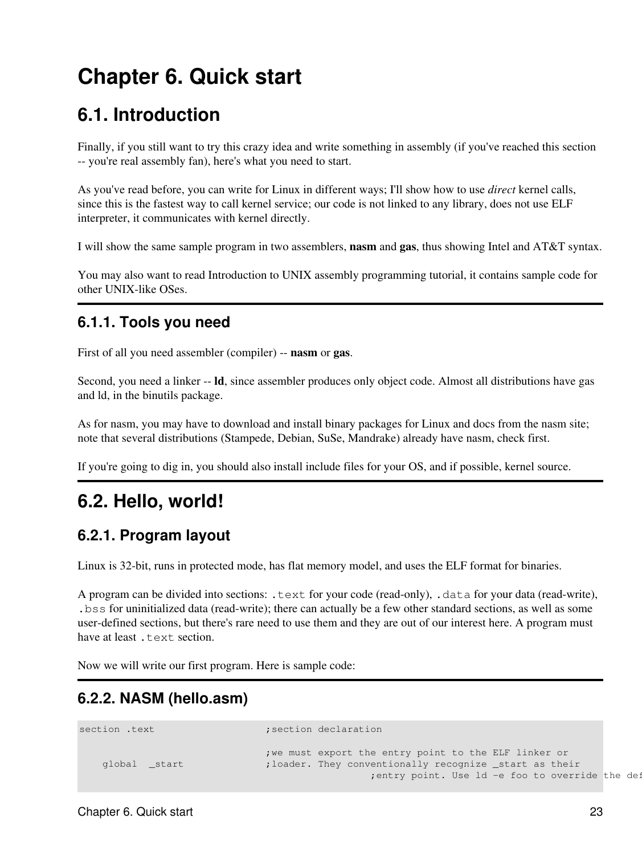# <span id="page-26-0"></span>**Chapter 6. Quick start**

## <span id="page-26-1"></span>**6.1. Introduction**

Finally, if you still want to try this crazy idea and write something in assembly (if you've reached this section -- you're real assembly fan), here's what you need to start.

As you've read before, you can write for Linux in different ways; I'll show how to use *direct* kernel calls, since this is the fastest way to call kernel service; our code is not linked to any library, does not use ELF interpreter, it communicates with kernel directly.

I will show the same sample program in two assemblers, **nasm** and **gas**, thus showing Intel and AT&T syntax.

You may also want to read Introduction to UNIX assembly programming tutorial, it contains sample code for other UNIX-like OSes.

### <span id="page-26-2"></span>**6.1.1. Tools you need**

First of all you need assembler (compiler) -- **nasm** or **gas**.

Second, you need a linker -- **ld**, since assembler produces only object code. Almost all distributions have gas and ld, in the binutils package.

As for nasm, you may have to download and install binary packages for Linux and docs from the nasm site; note that several distributions (Stampede, Debian, SuSe, Mandrake) already have nasm, check first.

If you're going to dig in, you should also install include files for your OS, and if possible, kernel source.

## <span id="page-26-3"></span>**6.2. Hello, world!**

### <span id="page-26-4"></span>**6.2.1. Program layout**

Linux is 32-bit, runs in protected mode, has flat memory model, and uses the ELF format for binaries.

A program can be divided into sections: .text for your code (read-only), .data for your data (read-write), .bss for uninitialized data (read-write); there can actually be a few other standard sections, as well as some user-defined sections, but there's rare need to use them and they are out of our interest here. A program must have at least .text section.

Now we will write our first program. Here is sample code:

## <span id="page-26-5"></span>**6.2.2. NASM (hello.asm)**

| section .text | ; section declaration                                                                                                                                               |  |
|---------------|---------------------------------------------------------------------------------------------------------------------------------------------------------------------|--|
| qlobal start  | ; we must export the entry point to the ELF linker or<br>; loader. They conventionally recognize start as their<br>; entry point. Use ld -e foo to override the def |  |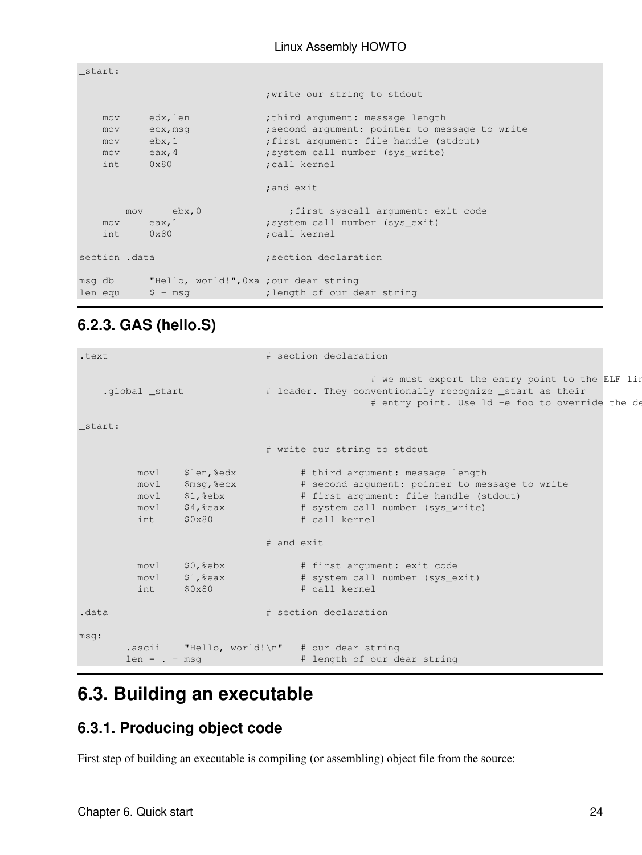```
_start:
                             ;write our string to stdout
   mov edx, len ;third argument: message length<br>mov ecx, msg ;second argument: pointer to me
   mov ecx, msg ; second argument: pointer to message to write
   mov ebx, 1 ;first argument: file handle (stdout)
   mov eax, 4 ; system call number (sys_write)
   int 0x80 ;call kernel
                           ; and exit
      mov ebx, 0 ;first syscall argument: exit code
   mov eax, 1 ; system call number (sys_exit)
   int 0x80 ;call kernel
section .data \overline{\hspace{1cm}} ; section declaration
msg db "Hello, world!",0xa ;our dear string
len equ \qquad $ - msg ; length of our dear string
```
## <span id="page-27-0"></span>**6.2.3. GAS (hello.S)**

| .text                                                         | # section declaration                                                                                                                                                                                                             |
|---------------------------------------------------------------|-----------------------------------------------------------------------------------------------------------------------------------------------------------------------------------------------------------------------------------|
| .global _start                                                | # we must export the entry point to the ELF lir<br># loader. They conventionally recognize _start as their<br># entry point. Use 1d -e foo to override the de                                                                     |
| _start:                                                       |                                                                                                                                                                                                                                   |
|                                                               | # write our string to stdout                                                                                                                                                                                                      |
| movl<br>movl<br>\$1,%ebx<br>movl<br>movl<br>50x80<br>int      | # third argument: message length<br>\$len, %edx<br>$Smsq,$ $secx$<br># second argument: pointer to message to write<br># first argument: file handle (stdout)<br>$$4, $e$ ax<br># system call number (sys_write)<br># call kernel |
|                                                               | # and exit                                                                                                                                                                                                                        |
| movl<br>$$0, $e$ bx<br>$$1,$ $3$ eax<br>movl<br>\$0x80<br>int | # first argument: exit code<br># system call number (sys_exit)<br># call kernel                                                                                                                                                   |
| .data                                                         | # section declaration                                                                                                                                                                                                             |
| msq:<br>.ascii<br>$len = . - msg$                             | "Hello, world!\n" $\#$ our dear string<br># length of our dear string                                                                                                                                                             |

## <span id="page-27-1"></span>**6.3. Building an executable**

## <span id="page-27-2"></span>**6.3.1. Producing object code**

First step of building an executable is compiling (or assembling) object file from the source:

#### Linux Assembly HOWTO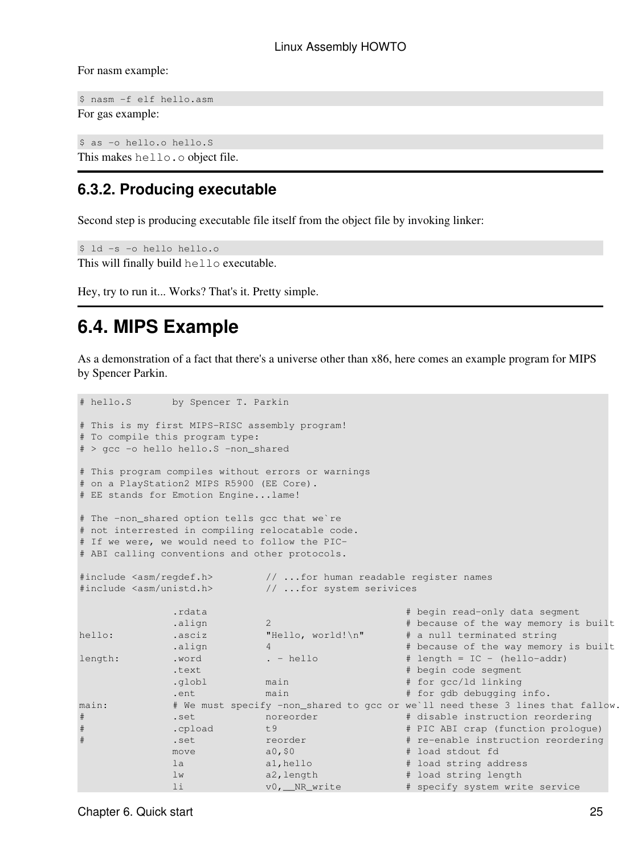For nasm example:

\$ nasm -f elf hello.asm For gas example:

```
$ as -o hello.o hello.S
This makes hello. o object file.
```
### <span id="page-28-0"></span>**6.3.2. Producing executable**

Second step is producing executable file itself from the object file by invoking linker:

```
$ ld -s -o hello hello.o
This will finally build hello executable.
```
Hey, try to run it... Works? That's it. Pretty simple.

## <span id="page-28-1"></span>**6.4. MIPS Example**

As a demonstration of a fact that there's a universe other than x86, here comes an example program for MIPS by Spencer Parkin.

```
# hello.S by Spencer T. Parkin
# This is my first MIPS-RISC assembly program!
# To compile this program type:
# > gcc -o hello hello.S -non_shared
# This program compiles without errors or warnings
# on a PlayStation2 MIPS R5900 (EE Core).
# EE stands for Emotion Engine...lame!
# The -non_shared option tells gcc that we`re
# not interrested in compiling relocatable code.
# If we were, we would need to follow the PIC-
# ABI calling conventions and other protocols.
#include <asm/regdef.h> // ...for human readable register names
#include <asm/unistd.h> // ...for system serivices 
             .rdata # begin read-only data segment
            .align 2 2 2 # because of the way memory is built
hello: .asciz "Hello, world!\n" # a null terminated string
            .align 4 4 \# because of the way memory is built
length: .word . - hello # length = IC - (hello-addr)
            .text \qquad + begin code segment
            .globl main # for gcc/ld linking
            .ent main \qquad \qquad \text{main} \qquad \qquad \text{if for gdb debugging info.}main: # We must specify -non_shared to gcc or we'll need these 3 lines that fallow.
            .set noreorder # disable instruction reordering
            .cpload t9 t9 \# PIC ABI crap (function prologue)
            .set . reorder # re-enable instruction reordering
             move a0,$0 # load stdout fd
             la a1,hello # load string address
            lw a2, length \qquad # load string length
             li v0,__NR_write # specify system write service
```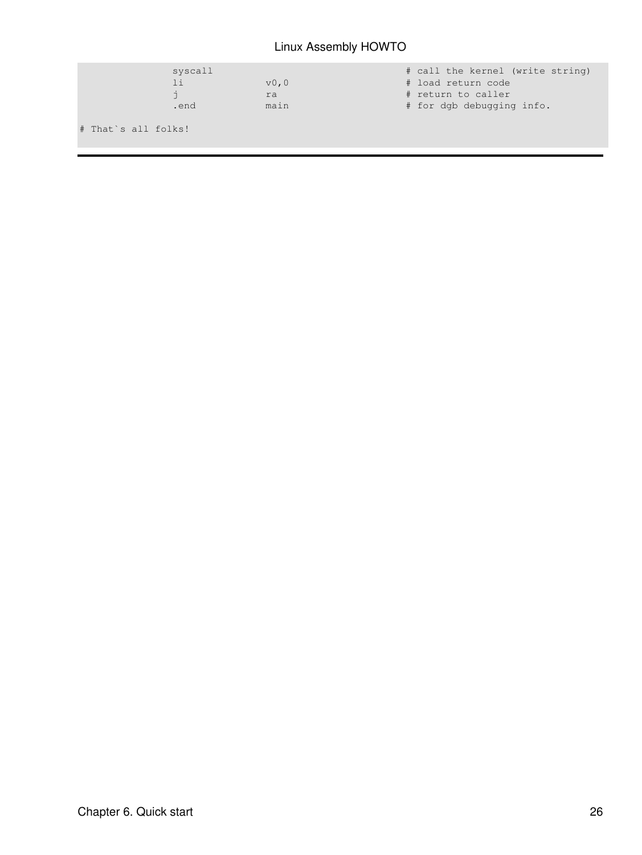|                     | syscall |       | # call the kernel (write string) |
|---------------------|---------|-------|----------------------------------|
|                     | 1i      | v0, 0 | # load return code               |
|                     |         | ra    | # return to caller               |
|                     | .end    | main  | # for dgb debugging info.        |
| # That's all folks! |         |       |                                  |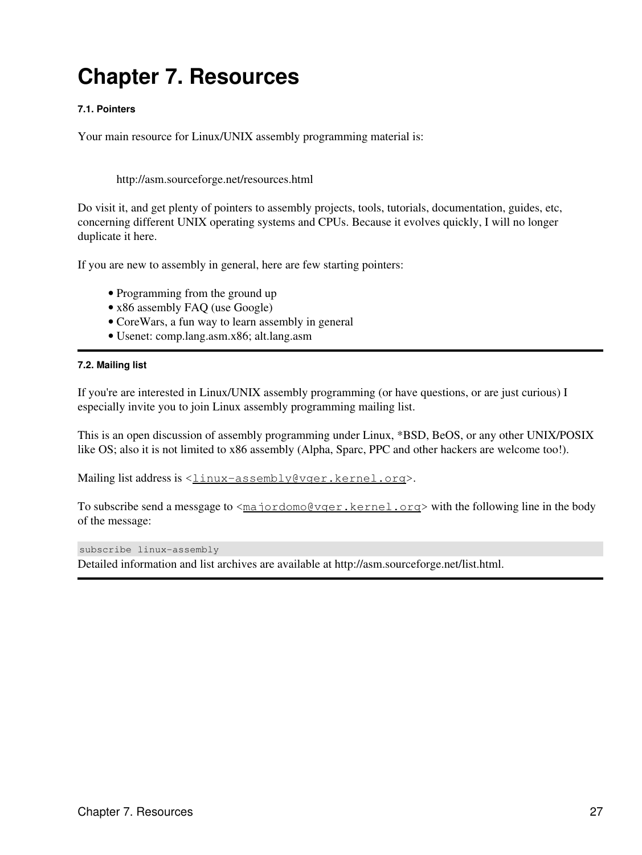# <span id="page-30-0"></span>**Chapter 7. Resources**

#### <span id="page-30-1"></span>**7.1. Pointers**

Your main resource for Linux/UNIX assembly programming material is:

http://asm.sourceforge.net/resources.html

Do visit it, and get plenty of pointers to assembly projects, tools, tutorials, documentation, guides, etc, concerning different UNIX operating systems and CPUs. Because it evolves quickly, I will no longer duplicate it here.

If you are new to assembly in general, here are few starting pointers:

- Programming from the ground up
- x86 assembly FAQ (use Google)
- CoreWars, a fun way to learn assembly in general
- Usenet: comp.lang.asm.x86; alt.lang.asm

#### <span id="page-30-2"></span>**7.2. Mailing list**

If you're are interested in Linux/UNIX assembly programming (or have questions, or are just curious) I especially invite you to join Linux assembly programming mailing list.

This is an open discussion of assembly programming under Linux, \*BSD, BeOS, or any other UNIX/POSIX like OS; also it is not limited to x86 assembly (Alpha, Sparc, PPC and other hackers are welcome too!).

Mailing list address is [<linux-assembly@vger.kernel.org](mailto:linux-assembly@vger.kernel.org)>.

To subscribe send a messgage to  $\leq$ <u>majordomo@vger.kernel.org</u>> with the following line in the body of the message:

subscribe linux-assembly Detailed information and list archives are available at http://asm.sourceforge.net/list.html.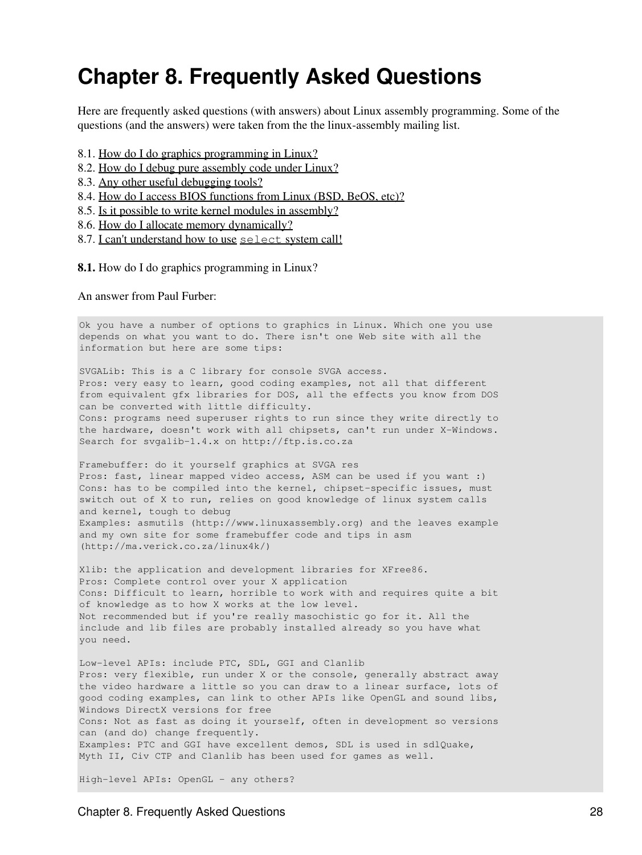# <span id="page-31-0"></span>**Chapter 8. Frequently Asked Questions**

Here are frequently asked questions (with answers) about Linux assembly programming. Some of the questions (and the answers) were taken from the the linux-assembly mailing list.

- 8.1. [How do I do graphics programming in Linux?](#page-31-1)
- 8.2. [How do I debug pure assembly code under Linux?](#page-32-0)
- 8.3. [Any other useful debugging tools?](#page-32-1)
- 8.4. [How do I access BIOS functions from Linux \(BSD, BeOS, etc\)?](#page-33-0)
- 8.5. [Is it possible to write kernel modules in assembly?](#page-33-1)
- 8.6. [How do I allocate memory dynamically?](#page-33-2)
- 8.7. [I can't understand how to use](#page-35-0) select [system call!](#page-35-0)
- <span id="page-31-1"></span>**8.1.** How do I do graphics programming in Linux?

#### An answer from Paul Furber:

Ok you have a number of options to graphics in Linux. Which one you use depends on what you want to do. There isn't one Web site with all the information but here are some tips:

SVGALib: This is a C library for console SVGA access. Pros: very easy to learn, good coding examples, not all that different from equivalent gfx libraries for DOS, all the effects you know from DOS can be converted with little difficulty. Cons: programs need superuser rights to run since they write directly to the hardware, doesn't work with all chipsets, can't run under X-Windows. Search for svgalib-1.4.x on http://ftp.is.co.za

Framebuffer: do it yourself graphics at SVGA res Pros: fast, linear mapped video access, ASM can be used if you want :) Cons: has to be compiled into the kernel, chipset-specific issues, must switch out of X to run, relies on good knowledge of linux system calls and kernel, tough to debug Examples: asmutils (http://www.linuxassembly.org) and the leaves example and my own site for some framebuffer code and tips in asm (http://ma.verick.co.za/linux4k/)

Xlib: the application and development libraries for XFree86. Pros: Complete control over your X application Cons: Difficult to learn, horrible to work with and requires quite a bit of knowledge as to how X works at the low level. Not recommended but if you're really masochistic go for it. All the include and lib files are probably installed already so you have what you need.

Low-level APIs: include PTC, SDL, GGI and Clanlib Pros: very flexible, run under X or the console, generally abstract away the video hardware a little so you can draw to a linear surface, lots of good coding examples, can link to other APIs like OpenGL and sound libs, Windows DirectX versions for free Cons: Not as fast as doing it yourself, often in development so versions can (and do) change frequently. Examples: PTC and GGI have excellent demos, SDL is used in sdlQuake, Myth II, Civ CTP and Clanlib has been used for games as well.

High-level APIs: OpenGL - any others?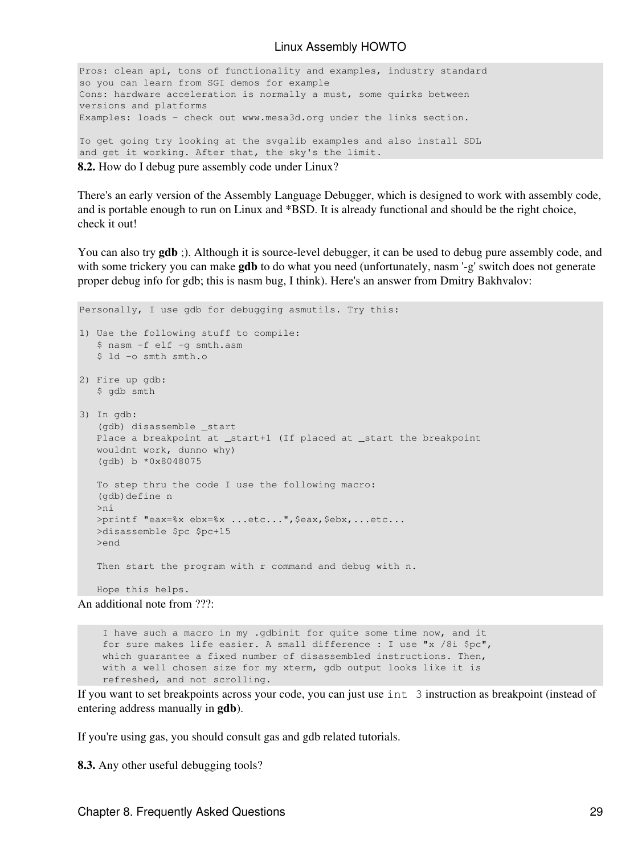Pros: clean api, tons of functionality and examples, industry standard so you can learn from SGI demos for example Cons: hardware acceleration is normally a must, some quirks between versions and platforms Examples: loads - check out www.mesa3d.org under the links section. To get going try looking at the svgalib examples and also install SDL and get it working. After that, the sky's the limit. **8.2.** How do I debug pure assembly code under Linux?

<span id="page-32-0"></span>There's an early version of the Assembly Language Debugger, which is designed to work with assembly code, and is portable enough to run on Linux and \*BSD. It is already functional and should be the right choice, check it out!

You can also try **gdb** ;). Although it is source-level debugger, it can be used to debug pure assembly code, and with some trickery you can make **gdb** to do what you need (unfortunately, nasm '-g' switch does not generate proper debug info for gdb; this is nasm bug, I think). Here's an answer from Dmitry Bakhvalov:

Personally, I use gdb for debugging asmutils. Try this: 1) Use the following stuff to compile: \$ nasm -f elf -g smth.asm \$ ld -o smth smth.o 2) Fire up gdb: \$ gdb smth 3) In gdb: (gdb) disassemble \_start Place a breakpoint at \_start+1 (If placed at \_start the breakpoint wouldnt work, dunno why) (gdb) b \*0x8048075 To step thru the code I use the following macro: (gdb)define n >ni >printf "eax=%x ebx=%x ...etc...",\$eax,\$ebx,...etc... >disassemble \$pc \$pc+15 >end Then start the program with r command and debug with n. Hope this helps.

An additional note from ???:

 I have such a macro in my .gdbinit for quite some time now, and it for sure makes life easier. A small difference : I use "x /8i \$pc", which guarantee a fixed number of disassembled instructions. Then, with a well chosen size for my xterm, gdb output looks like it is refreshed, and not scrolling.

If you want to set breakpoints across your code, you can just use int 3 instruction as breakpoint (instead of entering address manually in **gdb**).

If you're using gas, you should consult gas and gdb related tutorials.

<span id="page-32-1"></span>**8.3.** Any other useful debugging tools?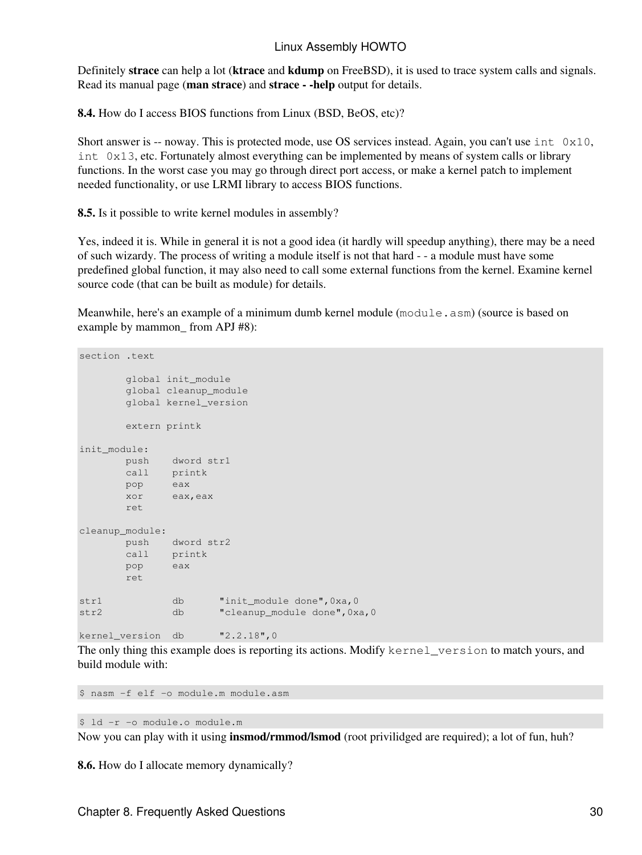Definitely **strace** can help a lot (**ktrace** and **kdump** on FreeBSD), it is used to trace system calls and signals. Read its manual page (**man strace**) and **strace - -help** output for details.

<span id="page-33-0"></span>**8.4.** How do I access BIOS functions from Linux (BSD, BeOS, etc)?

Short answer is -- noway. This is protected mode, use OS services instead. Again, you can't use  $int 0x10$ , int  $0x13$ , etc. Fortunately almost everything can be implemented by means of system calls or library functions. In the worst case you may go through direct port access, or make a kernel patch to implement needed functionality, or use LRMI library to access BIOS functions.

<span id="page-33-1"></span>**8.5.** Is it possible to write kernel modules in assembly?

Yes, indeed it is. While in general it is not a good idea (it hardly will speedup anything), there may be a need of such wizardy. The process of writing a module itself is not that hard - - a module must have some predefined global function, it may also need to call some external functions from the kernel. Examine kernel source code (that can be built as module) for details.

Meanwhile, here's an example of a minimum dumb kernel module ( $module$ ,  $asm$ ) (source is based on example by mammon\_ from APJ #8):

section .text global init\_module global cleanup\_module global kernel\_version extern printk init\_module: push dword str1 call printk pop eax xor eax,eax ret cleanup\_module: push dword str2 call printk pop eax ret str1 db "init\_module done", 0xa, 0 str2 db "cleanup\_module done", 0xa, 0

kernel\_version db "2.2.18",0

The only thing this example does is reporting its actions. Modify kernel\_version to match yours, and build module with:

\$ nasm -f elf -o module.m module.asm

\$ ld -r -o module.o module.m

Now you can play with it using **insmod/rmmod/lsmod** (root privilidged are required); a lot of fun, huh?

<span id="page-33-2"></span>**8.6.** How do I allocate memory dynamically?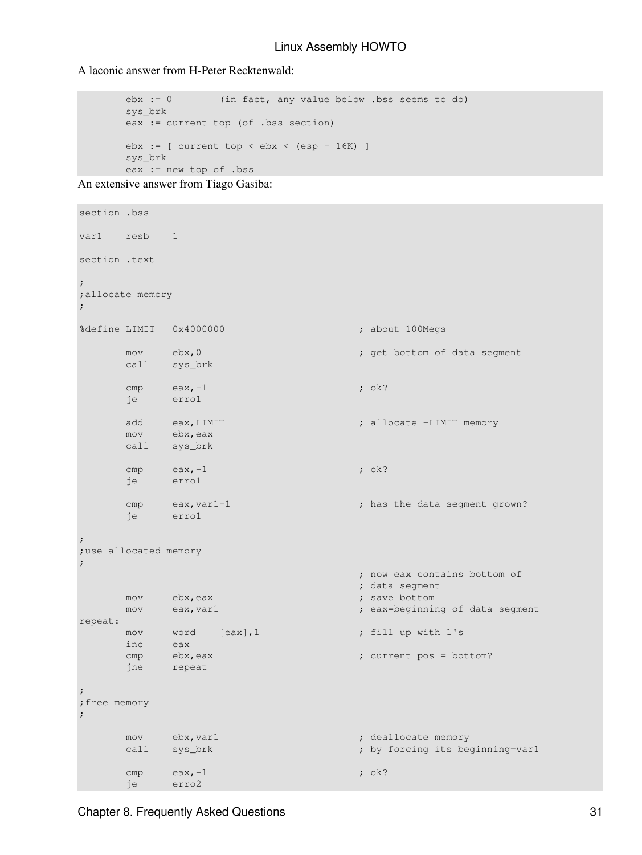A laconic answer from H-Peter Recktenwald:

```
 ebx := 0 (in fact, any value below .bss seems to do)
 sys_brk
eax := current top (of .bss section)
ebx := [ current top < ebx < (esp - 16K) ]
 sys_brk
eax := new top of .bss
```
An extensive answer from Tiago Gasiba:

```
section .bss
var1 resb 1
section .text
;
;allocate memory
;
%define LIMIT 0x4000000 ; about 100Megs
      mov ebx, 0 \qquad \qquad et bottom of data segment
       call sys_brk
      cmp eax, -1 ; ok?
       je erro1
      add eax, LIMIT interest and the contract of the easy allocate +LIMIT memory
       mov ebx,eax
       call sys_brk
      cmp eax, -1 ; ok?
       je erro1
      cmp eax, var1+1 \qquad \qquad ; has the data segment grown?
       je erro1
;
; use allocated memory
;
                                      ; now eax contains bottom of
                                      ; data segment
      mov ebx, eax ; save bottom<br>
mov eax, var1 ; eax=beginning
           eax,var1 induced and the east eax-beginning of data segment
repeat: 
      mov word [eax], 1 ; fill up with 1's
       inc eax
      cmp ebx, eax \qquad \qquad ; current pos = bottom?
       jne repeat
;
; free memory
;
      mov ebx, var1 ; deallocate memory
      call sys_brk ; by forcing its beginning=var1
      cmp eax,-1 ; ok?
       je erro2
```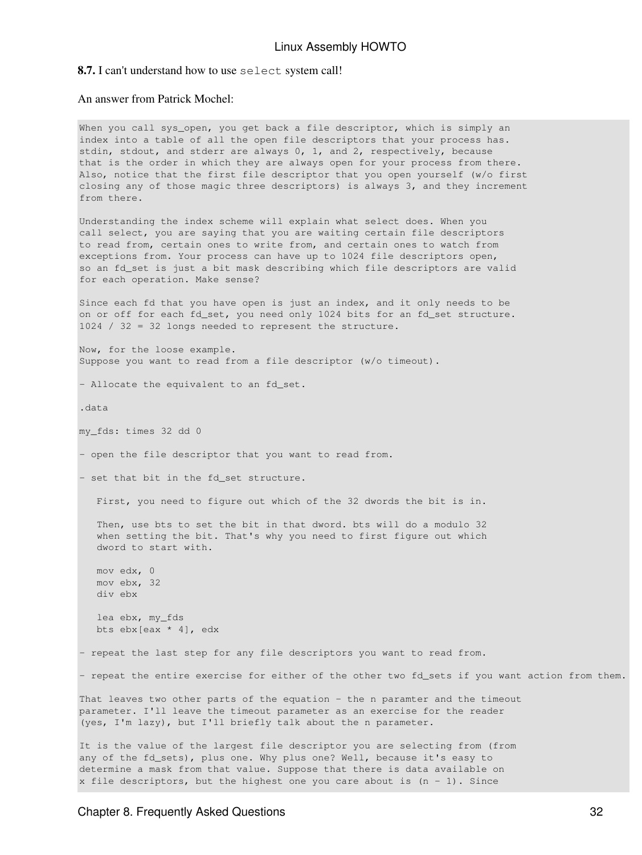#### <span id="page-35-0"></span>**8.7.** I can't understand how to use select system call!

#### An answer from Patrick Mochel:

When you call sys\_open, you get back a file descriptor, which is simply an index into a table of all the open file descriptors that your process has. stdin, stdout, and stderr are always 0, 1, and 2, respectively, because that is the order in which they are always open for your process from there. Also, notice that the first file descriptor that you open yourself (w/o first closing any of those magic three descriptors) is always 3, and they increment from there.

Understanding the index scheme will explain what select does. When you call select, you are saying that you are waiting certain file descriptors to read from, certain ones to write from, and certain ones to watch from exceptions from. Your process can have up to 1024 file descriptors open, so an fd\_set is just a bit mask describing which file descriptors are valid for each operation. Make sense?

Since each fd that you have open is just an index, and it only needs to be on or off for each fd\_set, you need only 1024 bits for an fd\_set structure. 1024 / 32 = 32 longs needed to represent the structure.

Now, for the loose example. Suppose you want to read from a file descriptor (w/o timeout).

- Allocate the equivalent to an fd\_set.

.data

my\_fds: times 32 dd 0

- open the file descriptor that you want to read from.

- set that bit in the fd\_set structure.

First, you need to figure out which of the 32 dwords the bit is in.

 Then, use bts to set the bit in that dword. bts will do a modulo 32 when setting the bit. That's why you need to first figure out which dword to start with.

 mov edx, 0 mov ebx, 32 div ebx

 lea ebx, my\_fds bts ebx[eax \* 4], edx

- repeat the last step for any file descriptors you want to read from.

- repeat the entire exercise for either of the other two fd\_sets if you want action from them.

That leaves two other parts of the equation - the n paramter and the timeout parameter. I'll leave the timeout parameter as an exercise for the reader (yes, I'm lazy), but I'll briefly talk about the n parameter.

It is the value of the largest file descriptor you are selecting from (from any of the fd\_sets), plus one. Why plus one? Well, because it's easy to determine a mask from that value. Suppose that there is data available on x file descriptors, but the highest one you care about is  $(n - 1)$ . Since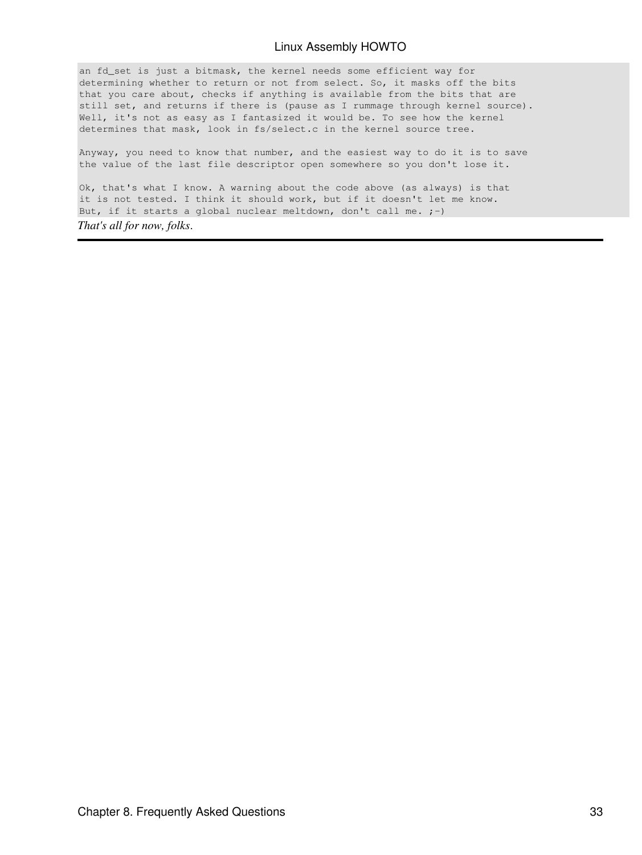an fd\_set is just a bitmask, the kernel needs some efficient way for determining whether to return or not from select. So, it masks off the bits that you care about, checks if anything is available from the bits that are still set, and returns if there is (pause as I rummage through kernel source). Well, it's not as easy as I fantasized it would be. To see how the kernel determines that mask, look in fs/select.c in the kernel source tree.

Anyway, you need to know that number, and the easiest way to do it is to save the value of the last file descriptor open somewhere so you don't lose it.

Ok, that's what I know. A warning about the code above (as always) is that it is not tested. I think it should work, but if it doesn't let me know. But, if it starts a global nuclear meltdown, don't call me. ;-) *That's all for now, folks*.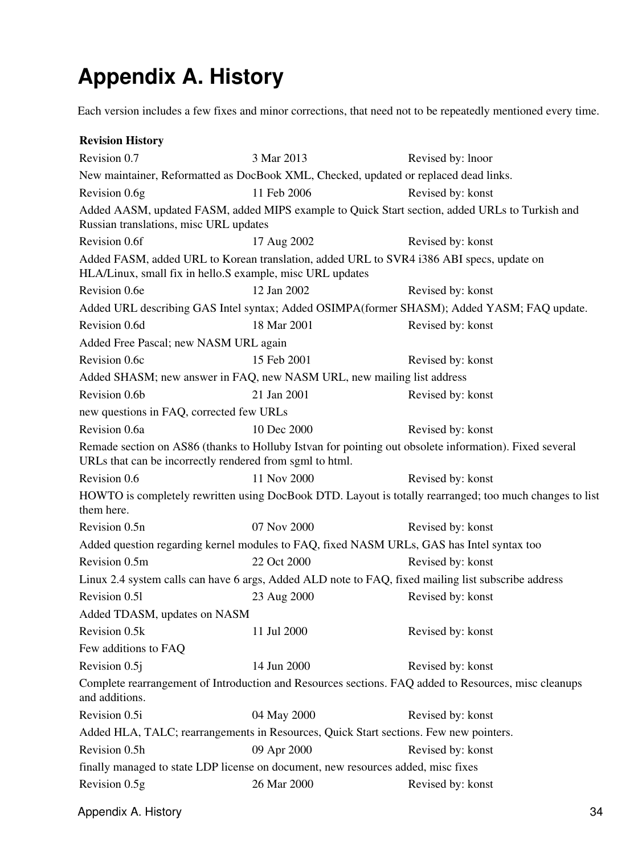# <span id="page-37-0"></span>**Appendix A. History**

Each version includes a few fixes and minor corrections, that need not to be repeatedly mentioned every time.

#### **Revision History**

| Revision 0.7                                                                                                                                          | 3 Mar 2013  | Revised by: lnoor                                                                                       |
|-------------------------------------------------------------------------------------------------------------------------------------------------------|-------------|---------------------------------------------------------------------------------------------------------|
| New maintainer, Reformatted as DocBook XML, Checked, updated or replaced dead links.                                                                  |             |                                                                                                         |
| Revision 0.6g                                                                                                                                         | 11 Feb 2006 | Revised by: konst                                                                                       |
| Russian translations, misc URL updates                                                                                                                |             | Added AASM, updated FASM, added MIPS example to Quick Start section, added URLs to Turkish and          |
| Revision 0.6f                                                                                                                                         | 17 Aug 2002 | Revised by: konst                                                                                       |
| Added FASM, added URL to Korean translation, added URL to SVR4 i386 ABI specs, update on<br>HLA/Linux, small fix in hello.S example, misc URL updates |             |                                                                                                         |
| Revision 0.6e                                                                                                                                         | 12 Jan 2002 | Revised by: konst                                                                                       |
|                                                                                                                                                       |             | Added URL describing GAS Intel syntax; Added OSIMPA(former SHASM); Added YASM; FAQ update.              |
| Revision 0.6d                                                                                                                                         | 18 Mar 2001 | Revised by: konst                                                                                       |
| Added Free Pascal; new NASM URL again                                                                                                                 |             |                                                                                                         |
| Revision 0.6c                                                                                                                                         | 15 Feb 2001 | Revised by: konst                                                                                       |
| Added SHASM; new answer in FAQ, new NASM URL, new mailing list address                                                                                |             |                                                                                                         |
| Revision 0.6b                                                                                                                                         | 21 Jan 2001 | Revised by: konst                                                                                       |
| new questions in FAQ, corrected few URLs                                                                                                              |             |                                                                                                         |
| Revision 0.6a                                                                                                                                         | 10 Dec 2000 | Revised by: konst                                                                                       |
| URLs that can be incorrectly rendered from sgml to html.                                                                                              |             | Remade section on AS86 (thanks to Holluby Istvan for pointing out obsolete information). Fixed several  |
| Revision 0.6                                                                                                                                          | 11 Nov 2000 | Revised by: konst                                                                                       |
| them here.                                                                                                                                            |             | HOWTO is completely rewritten using DocBook DTD. Layout is totally rearranged; too much changes to list |
| Revision 0.5n                                                                                                                                         | 07 Nov 2000 | Revised by: konst                                                                                       |
| Added question regarding kernel modules to FAQ, fixed NASM URLs, GAS has Intel syntax too                                                             |             |                                                                                                         |
| Revision 0.5m                                                                                                                                         | 22 Oct 2000 | Revised by: konst                                                                                       |
| Linux 2.4 system calls can have 6 args, Added ALD note to FAQ, fixed mailing list subscribe address                                                   |             |                                                                                                         |
| Revision 0.51                                                                                                                                         | 23 Aug 2000 | Revised by: konst                                                                                       |
| Added TDASM, updates on NASM                                                                                                                          |             |                                                                                                         |
| Revision 0.5k                                                                                                                                         | 11 Jul 2000 | Revised by: konst                                                                                       |
| Few additions to FAQ                                                                                                                                  |             |                                                                                                         |
| Revision 0.5j                                                                                                                                         | 14 Jun 2000 | Revised by: konst                                                                                       |
| and additions.                                                                                                                                        |             | Complete rearrangement of Introduction and Resources sections. FAQ added to Resources, misc cleanups    |
| Revision 0.5i                                                                                                                                         | 04 May 2000 | Revised by: konst                                                                                       |
| Added HLA, TALC; rearrangements in Resources, Quick Start sections. Few new pointers.                                                                 |             |                                                                                                         |
| Revision 0.5h                                                                                                                                         | 09 Apr 2000 | Revised by: konst                                                                                       |
| finally managed to state LDP license on document, new resources added, misc fixes                                                                     |             |                                                                                                         |
| Revision 0.5g                                                                                                                                         | 26 Mar 2000 | Revised by: konst                                                                                       |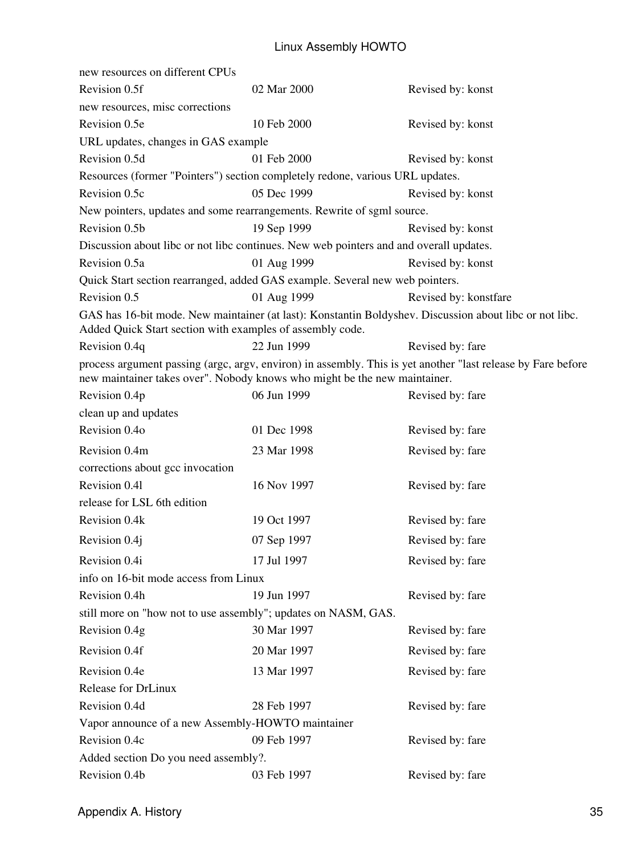| new resources on different CPUs                                                        |                                                                |                                                                                                              |
|----------------------------------------------------------------------------------------|----------------------------------------------------------------|--------------------------------------------------------------------------------------------------------------|
| Revision 0.5f                                                                          | 02 Mar 2000                                                    | Revised by: konst                                                                                            |
| new resources, misc corrections                                                        |                                                                |                                                                                                              |
| Revision 0.5e                                                                          | 10 Feb 2000                                                    | Revised by: konst                                                                                            |
| URL updates, changes in GAS example                                                    |                                                                |                                                                                                              |
| Revision 0.5d                                                                          | 01 Feb 2000                                                    | Revised by: konst                                                                                            |
| Resources (former "Pointers") section completely redone, various URL updates.          |                                                                |                                                                                                              |
| Revision 0.5c                                                                          | 05 Dec 1999                                                    | Revised by: konst                                                                                            |
| New pointers, updates and some rearrangements. Rewrite of sgml source.                 |                                                                |                                                                                                              |
| Revision 0.5b                                                                          | 19 Sep 1999                                                    | Revised by: konst                                                                                            |
| Discussion about libc or not libc continues. New web pointers and and overall updates. |                                                                |                                                                                                              |
| Revision 0.5a                                                                          | 01 Aug 1999                                                    | Revised by: konst                                                                                            |
| Quick Start section rearranged, added GAS example. Several new web pointers.           |                                                                |                                                                                                              |
| Revision 0.5                                                                           | 01 Aug 1999                                                    | Revised by: konstfare                                                                                        |
|                                                                                        | Added Quick Start section with examples of assembly code.      | GAS has 16-bit mode. New maintainer (at last): Konstantin Boldyshev. Discussion about libc or not libc.      |
| Revision 0.4q                                                                          | 22 Jun 1999                                                    | Revised by: fare                                                                                             |
| new maintainer takes over". Nobody knows who might be the new maintainer.              |                                                                | process argument passing (argc, argv, environ) in assembly. This is yet another "last release by Fare before |
| Revision 0.4p                                                                          | 06 Jun 1999                                                    | Revised by: fare                                                                                             |
| clean up and updates                                                                   |                                                                |                                                                                                              |
| Revision 0.4o                                                                          | 01 Dec 1998                                                    | Revised by: fare                                                                                             |
| Revision 0.4m                                                                          | 23 Mar 1998                                                    | Revised by: fare                                                                                             |
| corrections about gcc invocation                                                       |                                                                |                                                                                                              |
| Revision 0.41                                                                          | 16 Nov 1997                                                    | Revised by: fare                                                                                             |
| release for LSL 6th edition                                                            |                                                                |                                                                                                              |
| Revision 0.4k                                                                          | 19 Oct 1997                                                    | Revised by: fare                                                                                             |
| Revision 0.4j                                                                          | 07 Sep 1997                                                    | Revised by: fare                                                                                             |
| Revision 0.4i                                                                          | 17 Jul 1997                                                    | Revised by: fare                                                                                             |
| info on 16-bit mode access from Linux                                                  |                                                                |                                                                                                              |
| Revision 0.4h                                                                          | 19 Jun 1997                                                    | Revised by: fare                                                                                             |
|                                                                                        | still more on "how not to use assembly"; updates on NASM, GAS. |                                                                                                              |
| Revision 0.4g                                                                          | 30 Mar 1997                                                    | Revised by: fare                                                                                             |
| Revision 0.4f                                                                          | 20 Mar 1997                                                    | Revised by: fare                                                                                             |
| Revision 0.4e                                                                          | 13 Mar 1997                                                    | Revised by: fare                                                                                             |
| <b>Release for DrLinux</b>                                                             |                                                                |                                                                                                              |
| Revision 0.4d                                                                          | 28 Feb 1997                                                    | Revised by: fare                                                                                             |
| Vapor announce of a new Assembly-HOWTO maintainer                                      |                                                                |                                                                                                              |
| Revision 0.4c                                                                          | 09 Feb 1997                                                    | Revised by: fare                                                                                             |
| Added section Do you need assembly?.                                                   |                                                                |                                                                                                              |
| Revision 0.4b                                                                          | 03 Feb 1997                                                    | Revised by: fare                                                                                             |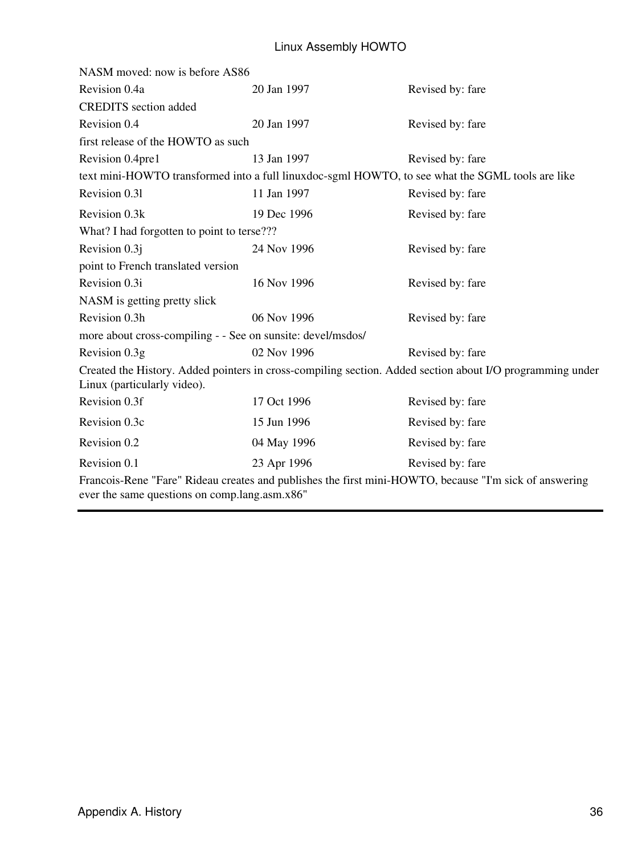| NASM moved: now is before AS86                              |             |                                                                                                           |  |  |
|-------------------------------------------------------------|-------------|-----------------------------------------------------------------------------------------------------------|--|--|
| Revision 0.4a                                               | 20 Jan 1997 | Revised by: fare                                                                                          |  |  |
| <b>CREDITS</b> section added                                |             |                                                                                                           |  |  |
| Revision 0.4                                                | 20 Jan 1997 | Revised by: fare                                                                                          |  |  |
| first release of the HOWTO as such                          |             |                                                                                                           |  |  |
| Revision 0.4pre1                                            | 13 Jan 1997 | Revised by: fare                                                                                          |  |  |
|                                                             |             | text mini-HOWTO transformed into a full linuxdoc-sgml HOWTO, to see what the SGML tools are like          |  |  |
| Revision 0.31                                               | 11 Jan 1997 | Revised by: fare                                                                                          |  |  |
| Revision 0.3k                                               | 19 Dec 1996 | Revised by: fare                                                                                          |  |  |
| What? I had forgotten to point to terse???                  |             |                                                                                                           |  |  |
| Revision 0.3j                                               | 24 Nov 1996 | Revised by: fare                                                                                          |  |  |
| point to French translated version                          |             |                                                                                                           |  |  |
| Revision 0.3i                                               | 16 Nov 1996 | Revised by: fare                                                                                          |  |  |
| NASM is getting pretty slick                                |             |                                                                                                           |  |  |
| Revision 0.3h                                               | 06 Nov 1996 | Revised by: fare                                                                                          |  |  |
| more about cross-compiling - - See on sunsite: devel/msdos/ |             |                                                                                                           |  |  |
| Revision 0.3g                                               | 02 Nov 1996 | Revised by: fare                                                                                          |  |  |
| Linux (particularly video).                                 |             | Created the History. Added pointers in cross-compiling section. Added section about I/O programming under |  |  |
| Revision 0.3f                                               | 17 Oct 1996 | Revised by: fare                                                                                          |  |  |
| Revision 0.3c                                               | 15 Jun 1996 | Revised by: fare                                                                                          |  |  |
| Revision 0.2                                                | 04 May 1996 | Revised by: fare                                                                                          |  |  |
| Revision 0.1                                                | 23 Apr 1996 | Revised by: fare                                                                                          |  |  |
|                                                             |             |                                                                                                           |  |  |

Francois-Rene "Fare" Rideau creates and publishes the first mini-HOWTO, because "I'm sick of answering ever the same questions on comp.lang.asm.x86"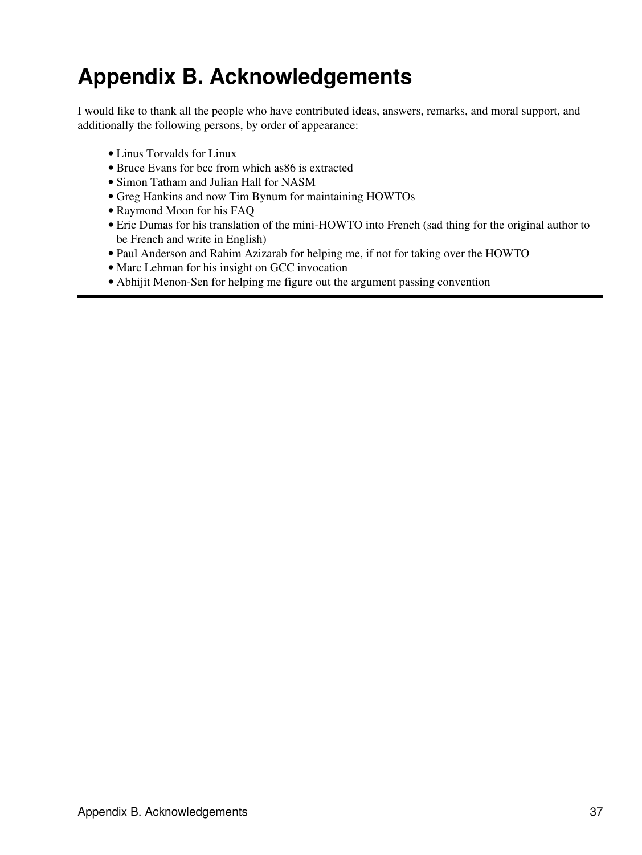# <span id="page-40-0"></span>**Appendix B. Acknowledgements**

I would like to thank all the people who have contributed ideas, answers, remarks, and moral support, and additionally the following persons, by order of appearance:

- Linus Torvalds for Linux
- Bruce Evans for bcc from which as86 is extracted
- Simon Tatham and Julian Hall for NASM
- Greg Hankins and now Tim Bynum for maintaining HOWTOs
- Raymond Moon for his FAQ
- Eric Dumas for his translation of the mini-HOWTO into French (sad thing for the original author to be French and write in English)
- Paul Anderson and Rahim Azizarab for helping me, if not for taking over the HOWTO
- Marc Lehman for his insight on GCC invocation
- Abhijit Menon-Sen for helping me figure out the argument passing convention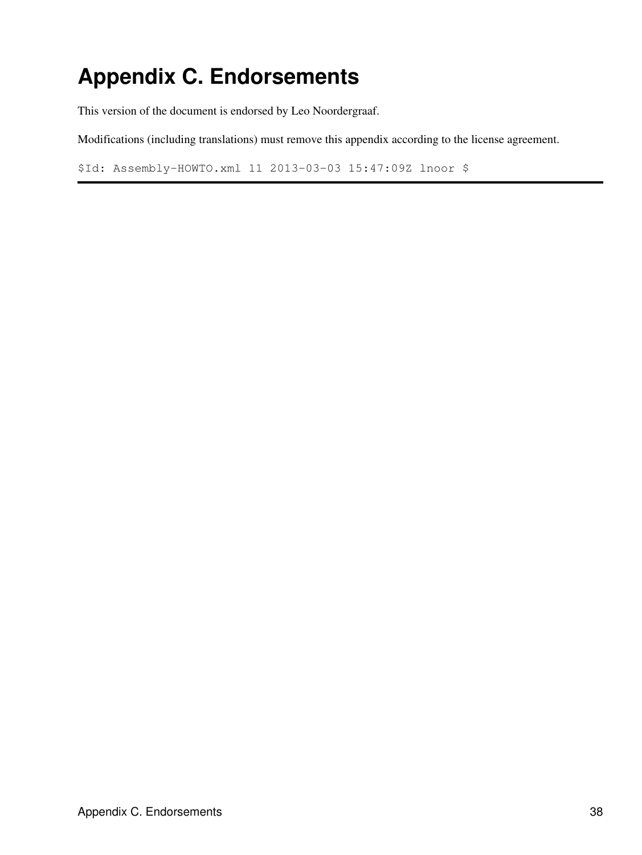# <span id="page-41-0"></span>**Appendix C. Endorsements**

This version of the document is endorsed by Leo Noordergraaf.

Modifications (including translations) must remove this appendix according to the license agreement.

\$Id: Assembly-HOWTO.xml 11 2013-03-03 15:47:09Z lnoor \$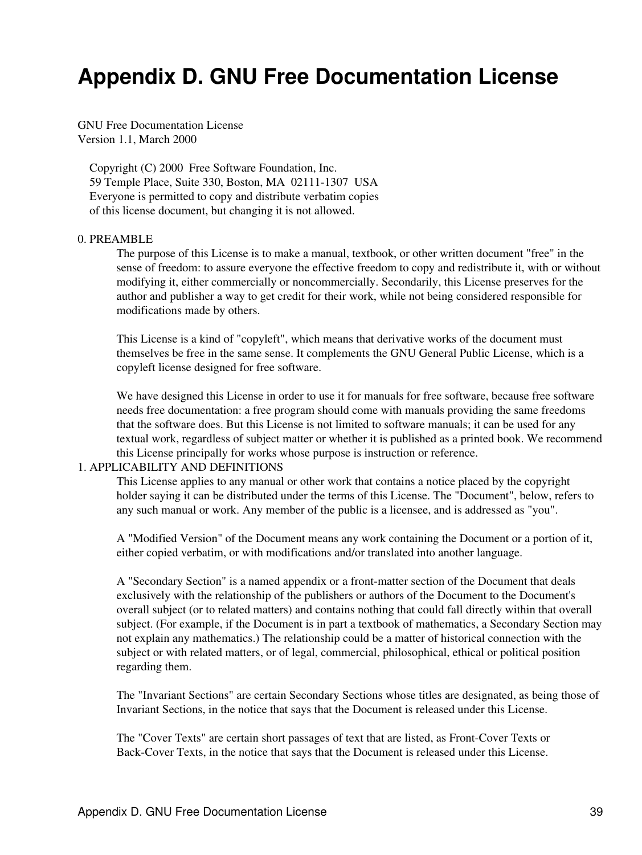# <span id="page-42-0"></span>**Appendix D. GNU Free Documentation License**

GNU Free Documentation License Version 1.1, March 2000

 Copyright (C) 2000 Free Software Foundation, Inc. 59 Temple Place, Suite 330, Boston, MA 02111-1307 USA Everyone is permitted to copy and distribute verbatim copies of this license document, but changing it is not allowed.

#### 0. PREAMBLE

The purpose of this License is to make a manual, textbook, or other written document "free" in the sense of freedom: to assure everyone the effective freedom to copy and redistribute it, with or without modifying it, either commercially or noncommercially. Secondarily, this License preserves for the author and publisher a way to get credit for their work, while not being considered responsible for modifications made by others.

This License is a kind of "copyleft", which means that derivative works of the document must themselves be free in the same sense. It complements the GNU General Public License, which is a copyleft license designed for free software.

We have designed this License in order to use it for manuals for free software, because free software needs free documentation: a free program should come with manuals providing the same freedoms that the software does. But this License is not limited to software manuals; it can be used for any textual work, regardless of subject matter or whether it is published as a printed book. We recommend this License principally for works whose purpose is instruction or reference.

#### 1. APPLICABILITY AND DEFINITIONS

This License applies to any manual or other work that contains a notice placed by the copyright holder saying it can be distributed under the terms of this License. The "Document", below, refers to any such manual or work. Any member of the public is a licensee, and is addressed as "you".

A "Modified Version" of the Document means any work containing the Document or a portion of it, either copied verbatim, or with modifications and/or translated into another language.

A "Secondary Section" is a named appendix or a front-matter section of the Document that deals exclusively with the relationship of the publishers or authors of the Document to the Document's overall subject (or to related matters) and contains nothing that could fall directly within that overall subject. (For example, if the Document is in part a textbook of mathematics, a Secondary Section may not explain any mathematics.) The relationship could be a matter of historical connection with the subject or with related matters, or of legal, commercial, philosophical, ethical or political position regarding them.

The "Invariant Sections" are certain Secondary Sections whose titles are designated, as being those of Invariant Sections, in the notice that says that the Document is released under this License.

The "Cover Texts" are certain short passages of text that are listed, as Front-Cover Texts or Back-Cover Texts, in the notice that says that the Document is released under this License.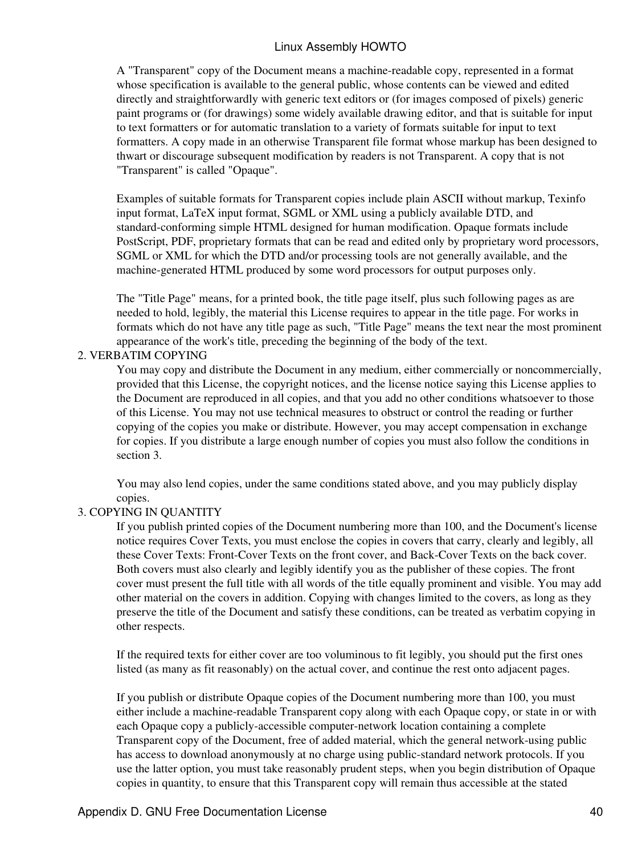A "Transparent" copy of the Document means a machine-readable copy, represented in a format whose specification is available to the general public, whose contents can be viewed and edited directly and straightforwardly with generic text editors or (for images composed of pixels) generic paint programs or (for drawings) some widely available drawing editor, and that is suitable for input to text formatters or for automatic translation to a variety of formats suitable for input to text formatters. A copy made in an otherwise Transparent file format whose markup has been designed to thwart or discourage subsequent modification by readers is not Transparent. A copy that is not "Transparent" is called "Opaque".

Examples of suitable formats for Transparent copies include plain ASCII without markup, Texinfo input format, LaTeX input format, SGML or XML using a publicly available DTD, and standard-conforming simple HTML designed for human modification. Opaque formats include PostScript, PDF, proprietary formats that can be read and edited only by proprietary word processors, SGML or XML for which the DTD and/or processing tools are not generally available, and the machine-generated HTML produced by some word processors for output purposes only.

The "Title Page" means, for a printed book, the title page itself, plus such following pages as are needed to hold, legibly, the material this License requires to appear in the title page. For works in formats which do not have any title page as such, "Title Page" means the text near the most prominent appearance of the work's title, preceding the beginning of the body of the text.

#### 2. VERBATIM COPYING

You may copy and distribute the Document in any medium, either commercially or noncommercially, provided that this License, the copyright notices, and the license notice saying this License applies to the Document are reproduced in all copies, and that you add no other conditions whatsoever to those of this License. You may not use technical measures to obstruct or control the reading or further copying of the copies you make or distribute. However, you may accept compensation in exchange for copies. If you distribute a large enough number of copies you must also follow the conditions in section 3.

You may also lend copies, under the same conditions stated above, and you may publicly display copies.

#### 3. COPYING IN QUANTITY

If you publish printed copies of the Document numbering more than 100, and the Document's license notice requires Cover Texts, you must enclose the copies in covers that carry, clearly and legibly, all these Cover Texts: Front-Cover Texts on the front cover, and Back-Cover Texts on the back cover. Both covers must also clearly and legibly identify you as the publisher of these copies. The front cover must present the full title with all words of the title equally prominent and visible. You may add other material on the covers in addition. Copying with changes limited to the covers, as long as they preserve the title of the Document and satisfy these conditions, can be treated as verbatim copying in other respects.

If the required texts for either cover are too voluminous to fit legibly, you should put the first ones listed (as many as fit reasonably) on the actual cover, and continue the rest onto adjacent pages.

If you publish or distribute Opaque copies of the Document numbering more than 100, you must either include a machine-readable Transparent copy along with each Opaque copy, or state in or with each Opaque copy a publicly-accessible computer-network location containing a complete Transparent copy of the Document, free of added material, which the general network-using public has access to download anonymously at no charge using public-standard network protocols. If you use the latter option, you must take reasonably prudent steps, when you begin distribution of Opaque copies in quantity, to ensure that this Transparent copy will remain thus accessible at the stated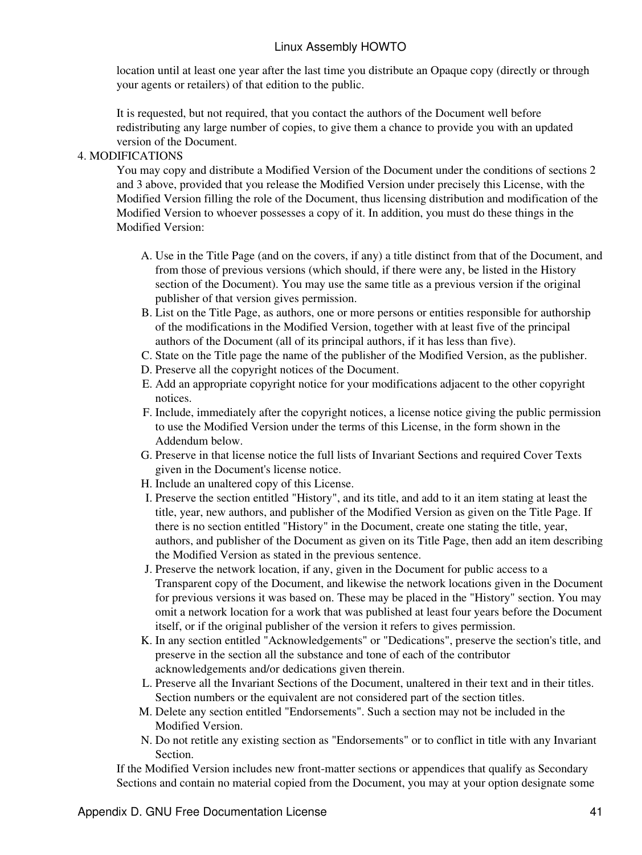location until at least one year after the last time you distribute an Opaque copy (directly or through your agents or retailers) of that edition to the public.

It is requested, but not required, that you contact the authors of the Document well before redistributing any large number of copies, to give them a chance to provide you with an updated version of the Document.

#### 4. MODIFICATIONS

You may copy and distribute a Modified Version of the Document under the conditions of sections 2 and 3 above, provided that you release the Modified Version under precisely this License, with the Modified Version filling the role of the Document, thus licensing distribution and modification of the Modified Version to whoever possesses a copy of it. In addition, you must do these things in the Modified Version:

- A. Use in the Title Page (and on the covers, if any) a title distinct from that of the Document, and from those of previous versions (which should, if there were any, be listed in the History section of the Document). You may use the same title as a previous version if the original publisher of that version gives permission.
- B. List on the Title Page, as authors, one or more persons or entities responsible for authorship of the modifications in the Modified Version, together with at least five of the principal authors of the Document (all of its principal authors, if it has less than five).
- C. State on the Title page the name of the publisher of the Modified Version, as the publisher.
- D. Preserve all the copyright notices of the Document.
- E. Add an appropriate copyright notice for your modifications adjacent to the other copyright notices.
- F. Include, immediately after the copyright notices, a license notice giving the public permission to use the Modified Version under the terms of this License, in the form shown in the Addendum below.
- G. Preserve in that license notice the full lists of Invariant Sections and required Cover Texts given in the Document's license notice.
- H. Include an unaltered copy of this License.
- I. Preserve the section entitled "History", and its title, and add to it an item stating at least the title, year, new authors, and publisher of the Modified Version as given on the Title Page. If there is no section entitled "History" in the Document, create one stating the title, year, authors, and publisher of the Document as given on its Title Page, then add an item describing the Modified Version as stated in the previous sentence.
- J. Preserve the network location, if any, given in the Document for public access to a Transparent copy of the Document, and likewise the network locations given in the Document for previous versions it was based on. These may be placed in the "History" section. You may omit a network location for a work that was published at least four years before the Document itself, or if the original publisher of the version it refers to gives permission.
- K. In any section entitled "Acknowledgements" or "Dedications", preserve the section's title, and preserve in the section all the substance and tone of each of the contributor acknowledgements and/or dedications given therein.
- L. Preserve all the Invariant Sections of the Document, unaltered in their text and in their titles. Section numbers or the equivalent are not considered part of the section titles.
- M. Delete any section entitled "Endorsements". Such a section may not be included in the Modified Version.
- N. Do not retitle any existing section as "Endorsements" or to conflict in title with any Invariant Section.

If the Modified Version includes new front-matter sections or appendices that qualify as Secondary Sections and contain no material copied from the Document, you may at your option designate some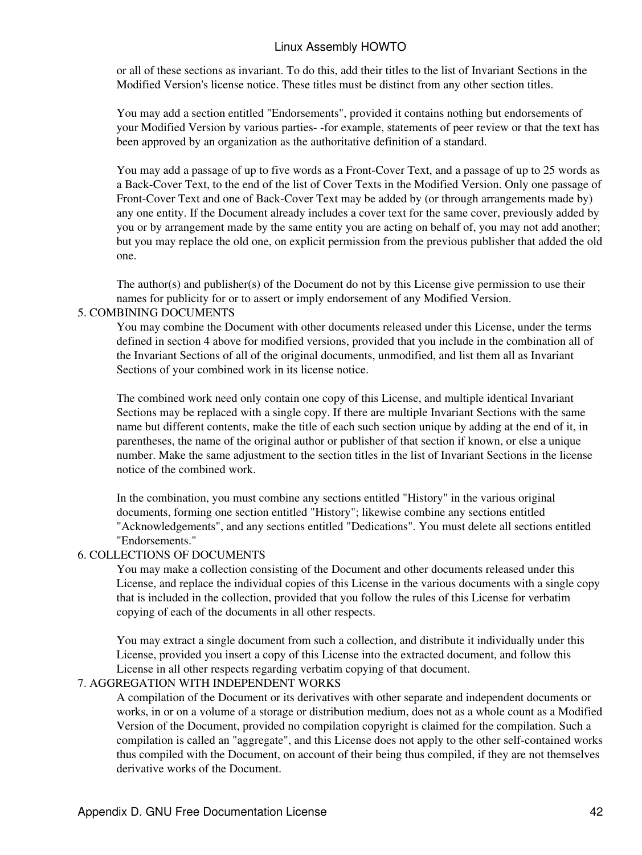or all of these sections as invariant. To do this, add their titles to the list of Invariant Sections in the Modified Version's license notice. These titles must be distinct from any other section titles.

You may add a section entitled "Endorsements", provided it contains nothing but endorsements of your Modified Version by various parties- -for example, statements of peer review or that the text has been approved by an organization as the authoritative definition of a standard.

You may add a passage of up to five words as a Front-Cover Text, and a passage of up to 25 words as a Back-Cover Text, to the end of the list of Cover Texts in the Modified Version. Only one passage of Front-Cover Text and one of Back-Cover Text may be added by (or through arrangements made by) any one entity. If the Document already includes a cover text for the same cover, previously added by you or by arrangement made by the same entity you are acting on behalf of, you may not add another; but you may replace the old one, on explicit permission from the previous publisher that added the old one.

The author(s) and publisher(s) of the Document do not by this License give permission to use their names for publicity for or to assert or imply endorsement of any Modified Version.

#### 5. COMBINING DOCUMENTS

You may combine the Document with other documents released under this License, under the terms defined in section 4 above for modified versions, provided that you include in the combination all of the Invariant Sections of all of the original documents, unmodified, and list them all as Invariant Sections of your combined work in its license notice.

The combined work need only contain one copy of this License, and multiple identical Invariant Sections may be replaced with a single copy. If there are multiple Invariant Sections with the same name but different contents, make the title of each such section unique by adding at the end of it, in parentheses, the name of the original author or publisher of that section if known, or else a unique number. Make the same adjustment to the section titles in the list of Invariant Sections in the license notice of the combined work.

In the combination, you must combine any sections entitled "History" in the various original documents, forming one section entitled "History"; likewise combine any sections entitled "Acknowledgements", and any sections entitled "Dedications". You must delete all sections entitled "Endorsements."

#### 6. COLLECTIONS OF DOCUMENTS

You may make a collection consisting of the Document and other documents released under this License, and replace the individual copies of this License in the various documents with a single copy that is included in the collection, provided that you follow the rules of this License for verbatim copying of each of the documents in all other respects.

You may extract a single document from such a collection, and distribute it individually under this License, provided you insert a copy of this License into the extracted document, and follow this License in all other respects regarding verbatim copying of that document.

#### 7. AGGREGATION WITH INDEPENDENT WORKS

A compilation of the Document or its derivatives with other separate and independent documents or works, in or on a volume of a storage or distribution medium, does not as a whole count as a Modified Version of the Document, provided no compilation copyright is claimed for the compilation. Such a compilation is called an "aggregate", and this License does not apply to the other self-contained works thus compiled with the Document, on account of their being thus compiled, if they are not themselves derivative works of the Document.